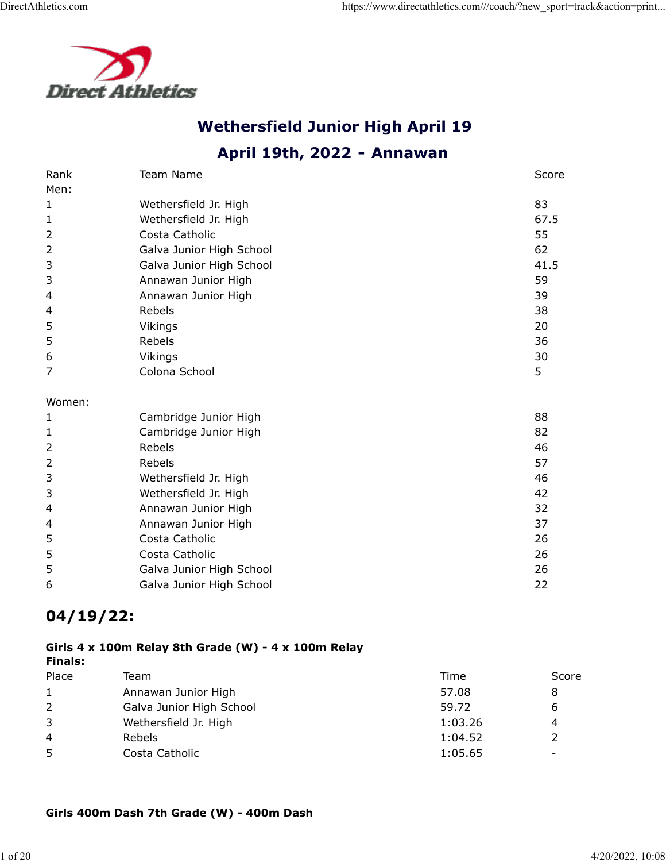

# **Wethersfield Junior High April 19**

# **April 19th, 2022 - Annawan**

| Rank           | <b>Team Name</b>         | Score |
|----------------|--------------------------|-------|
| Men:           |                          |       |
| 1              | Wethersfield Jr. High    | 83    |
| $\mathbf{1}$   | Wethersfield Jr. High    | 67.5  |
| $\overline{2}$ | Costa Catholic           | 55    |
| $\overline{2}$ | Galva Junior High School | 62    |
| 3              | Galva Junior High School | 41.5  |
| 3              | Annawan Junior High      | 59    |
| 4              | Annawan Junior High      | 39    |
| 4              | Rebels                   | 38    |
| 5              | Vikings                  | 20    |
| 5              | Rebels                   | 36    |
| 6              | Vikings                  | 30    |
| 7              | Colona School            | 5     |
| Women:         |                          |       |
| 1              | Cambridge Junior High    | 88    |
| $\mathbf{1}$   | Cambridge Junior High    | 82    |
| $\overline{2}$ | Rebels                   | 46    |
| $\overline{2}$ | Rebels                   | 57    |
| 3              | Wethersfield Jr. High    | 46    |
| 3              | Wethersfield Jr. High    | 42    |
| 4              | Annawan Junior High      | 32    |
| 4              | Annawan Junior High      | 37    |
| 5              | Costa Catholic           | 26    |
| 5              | Costa Catholic           | 26    |
| 5              | Galva Junior High School | 26    |
| 6              | Galva Junior High School | 22    |

# **04/19/22:**

#### **Girls 4 x 100m Relay 8th Grade (W) - 4 x 100m Relay Finals:**

| Place          | Team                     | Time    | Score                    |
|----------------|--------------------------|---------|--------------------------|
| $\mathbf{1}$   | Annawan Junior High      | 57.08   | 8                        |
| $\overline{2}$ | Galva Junior High School | 59.72   | ь                        |
| 3              | Wethersfield Jr. High    | 1:03.26 | 4                        |
| 4              | <b>Rebels</b>            | 1:04.52 |                          |
| 5              | Costa Catholic           | 1:05.65 | $\overline{\phantom{0}}$ |

### **Girls 400m Dash 7th Grade (W) - 400m Dash**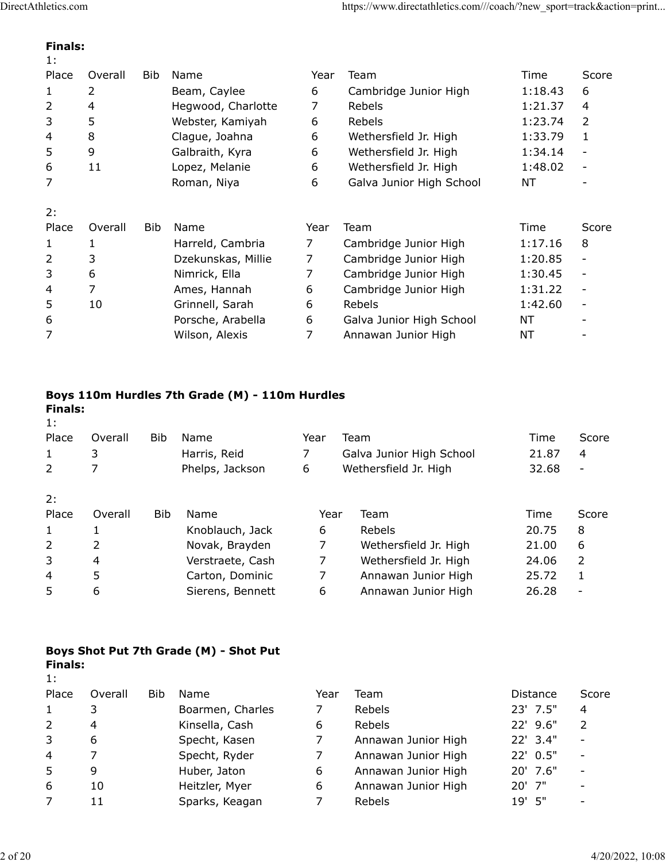### **Finals:**

| 1:    |         |            |                    |                |                          |         |                          |
|-------|---------|------------|--------------------|----------------|--------------------------|---------|--------------------------|
| Place | Overall | <b>Bib</b> | Name               | Year           | Team                     | Time    | Score                    |
| 1     | 2       |            | Beam, Caylee       | 6              | Cambridge Junior High    | 1:18.43 | 6                        |
| 2     | 4       |            | Hegwood, Charlotte | 7              | Rebels                   | 1:21.37 | 4                        |
| 3     | 5       |            | Webster, Kamiyah   | 6              | Rebels                   | 1:23.74 | $\mathcal{P}$            |
| 4     | 8       |            | Clague, Joahna     | 6              | Wethersfield Jr. High    | 1:33.79 | $\mathbf{1}$             |
| 5     | 9       |            | Galbraith, Kyra    | 6              | Wethersfield Jr. High    | 1:34.14 |                          |
| 6     | 11      |            | Lopez, Melanie     | 6              | Wethersfield Jr. High    | 1:48.02 |                          |
| 7     |         |            | Roman, Niya        | 6              | Galva Junior High School | NT      |                          |
| 2:    |         |            |                    |                |                          |         |                          |
| Place | Overall | <b>Bib</b> | Name               | Year           | Team                     | Time    | Score                    |
| 1     | 1       |            | Harreld, Cambria   | $\overline{7}$ | Cambridge Junior High    | 1:17.16 | 8                        |
| 2     | 3       |            | Dzekunskas, Millie | 7              | Cambridge Junior High    | 1:20.85 | $\overline{\phantom{a}}$ |
| 3     | 6       |            | Nimrick, Ella      | 7              | Cambridge Junior High    | 1:30.45 |                          |
| 4     | 7       |            | Ames, Hannah       | 6              | Cambridge Junior High    | 1:31.22 |                          |
| 5     | 10      |            | Grinnell, Sarah    | 6              | Rebels                   | 1:42.60 |                          |
| 6     |         |            | Porsche, Arabella  | 6              | Galva Junior High School | NΤ      |                          |
| 7     |         |            | Wilson, Alexis     | 7              | Annawan Junior High      | NΤ      |                          |
|       |         |            |                    |                |                          |         |                          |

# **Boys 110m Hurdles 7th Grade (M) - 110m Hurdles**

| <b>Finals:</b><br>1: |         |     |                  |      |                          |       |       |
|----------------------|---------|-----|------------------|------|--------------------------|-------|-------|
| Place                | Overall | Bib | Name             | Year | Team                     | Time  | Score |
| 1                    | 3       |     | Harris, Reid     | 7    | Galva Junior High School | 21.87 | 4     |
| 2                    | 7       |     | Phelps, Jackson  | 6    | Wethersfield Jr. High    | 32.68 |       |
| 2:                   |         |     |                  |      |                          |       |       |
| Place                | Overall | Bib | Name             | Year | Team                     | Time  | Score |
| 1                    | 1       |     | Knoblauch, Jack  | 6    | Rebels                   | 20.75 | 8     |
| 2                    | 2       |     | Novak, Brayden   | 7    | Wethersfield Jr. High    | 21.00 | 6     |
| 3                    | 4       |     | Verstraete, Cash | 7    | Wethersfield Jr. High    | 24.06 | 2     |
| 4                    | 5       |     | Carton, Dominic  | 7    | Annawan Junior High      | 25.72 | 1     |
| 5                    | 6       |     | Sierens, Bennett | 6    | Annawan Junior High      | 26.28 |       |

### **Boys Shot Put 7th Grade (M) - Shot Put Finals:** 1:

| Place | Overall | Bib | Name             | Year | Team                | <b>Distance</b> | Score |
|-------|---------|-----|------------------|------|---------------------|-----------------|-------|
|       |         |     | Boarmen, Charles |      | Rebels              | $23'$ 7.5"      | 4     |
| 2     | 4       |     | Kinsella, Cash   | 6    | Rebels              | $22'$ 9.6"      |       |
| 3     | 6       |     | Specht, Kasen    |      | Annawan Junior High | 22' 3.4"        |       |
| 4     |         |     | Specht, Ryder    |      | Annawan Junior High | $22'$ 0.5"      |       |
| 5     | 9       |     | Huber, Jaton     | 6    | Annawan Junior High | $20'$ 7.6"      |       |
| 6     | 10      |     | Heitzler, Myer   | 6    | Annawan Junior High | $20'$ 7"        |       |
| 7     | 11      |     | Sparks, Keagan   |      | Rebels              | $19'$ 5"        |       |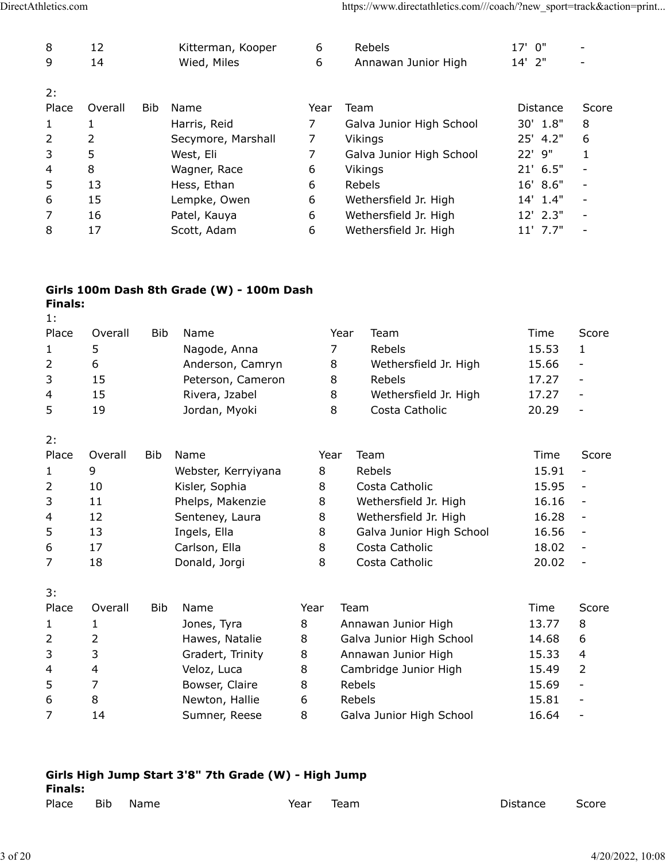| 8            | 12      |            | Kitterman, Kooper  | 6    | Rebels                   | 17' 0"     |       |
|--------------|---------|------------|--------------------|------|--------------------------|------------|-------|
| 9            | 14      |            | Wied, Miles        | 6    | Annawan Junior High      | 14' 2"     |       |
| 2:           |         |            |                    |      |                          |            |       |
| Place        | Overall | <b>Bib</b> | Name               | Year | Team                     | Distance   | Score |
| $\mathbf{1}$ | 1       |            | Harris, Reid       |      | Galva Junior High School | 30' 1.8"   | 8     |
| 2            | 2       |            | Secymore, Marshall | 7    | Vikings                  | 25' 4.2"   | 6     |
| 3            | 5       |            | West, Eli          |      | Galva Junior High School | 22' 9"     |       |
| 4            | 8       |            | Wagner, Race       | 6    | Vikings                  | $21'$ 6.5" |       |
| 5            | 13      |            | Hess, Ethan        | 6    | <b>Rebels</b>            | 16' 8.6''  |       |
| 6            | 15      |            | Lempke, Owen       | 6    | Wethersfield Jr. High    | $14'$ 1.4" |       |
| 7            | 16      |            | Patel, Kauya       | 6    | Wethersfield Jr. High    | $12'$ 2.3" |       |
| 8            | 17      |            | Scott, Adam        | 6    | Wethersfield Jr. High    | $11'$ 7.7" |       |
|              |         |            |                    |      |                          |            |       |

## **Girls 100m Dash 8th Grade (W) - 100m Dash Finals:**

|  | H | M.<br>. . |  |
|--|---|-----------|--|
|  |   |           |  |
|  |   |           |  |

| Place | Overall | <b>Bib</b> | Name                | Year | Team                     | Time  | Score                    |
|-------|---------|------------|---------------------|------|--------------------------|-------|--------------------------|
| 1     | 5       |            | Nagode, Anna        | 7    | Rebels                   | 15.53 | 1                        |
| 2     | 6       |            | Anderson, Camryn    | 8    | Wethersfield Jr. High    | 15.66 |                          |
| 3     | 15      |            | Peterson, Cameron   | 8    | Rebels                   | 17.27 |                          |
| 4     | 15      |            | Rivera, Jzabel      | 8    | Wethersfield Jr. High    | 17.27 | $\overline{\phantom{a}}$ |
| 5     | 19      |            | Jordan, Myoki       | 8    | Costa Catholic           | 20.29 |                          |
| 2:    |         |            |                     |      |                          |       |                          |
| Place | Overall | <b>Bib</b> | Name                | Year | Team                     | Time  | Score                    |
| 1     | 9       |            | Webster, Kerryiyana | 8    | Rebels                   | 15.91 |                          |
| 2     | 10      |            | Kisler, Sophia      | 8    | Costa Catholic           | 15.95 | $\overline{\phantom{0}}$ |
| 3     | 11      |            | Phelps, Makenzie    | 8    | Wethersfield Jr. High    | 16.16 |                          |
| 4     | 12      |            | Senteney, Laura     | 8    | Wethersfield Jr. High    | 16.28 |                          |
| 5     | 13      |            | Ingels, Ella        | 8    | Galva Junior High School | 16.56 |                          |

3:

| <u>. .</u>   |         |            |                  |      |                          |       |                          |
|--------------|---------|------------|------------------|------|--------------------------|-------|--------------------------|
| Place        | Overall | <b>Bib</b> | Name             | Year | Team                     | Time  | Score                    |
| $\mathbf{1}$ |         |            | Jones, Tyra      | 8    | Annawan Junior High      | 13.77 | 8                        |
| 2            | 2       |            | Hawes, Natalie   | 8    | Galva Junior High School | 14.68 | 6                        |
| 3            | 3       |            | Gradert, Trinity | 8    | Annawan Junior High      | 15.33 | 4                        |
| 4            | 4       |            | Veloz, Luca      | 8    | Cambridge Junior High    | 15.49 |                          |
| 5            |         |            | Bowser, Claire   | 8    | <b>Rebels</b>            | 15.69 | -                        |
| 6            | 8       |            | Newton, Hallie   | 6    | Rebels                   | 15.81 | $\overline{\phantom{0}}$ |
|              | 14      |            | Sumner, Reese    | 8    | Galva Junior High School | 16.64 |                          |
|              |         |            |                  |      |                          |       |                          |

6 17 Carlson, Ella 8 Costa Catholic 18.02 -7 18 Donald, Jorgi 8 Costa Catholic 20.02 -

| <b>Finals:</b> |      | Girls High Jump Start 3'8" 7th Grade (W) - High Jump |      |      |          |       |
|----------------|------|------------------------------------------------------|------|------|----------|-------|
| Place          | Bib. | Name.                                                | Year | Team | Distance | Score |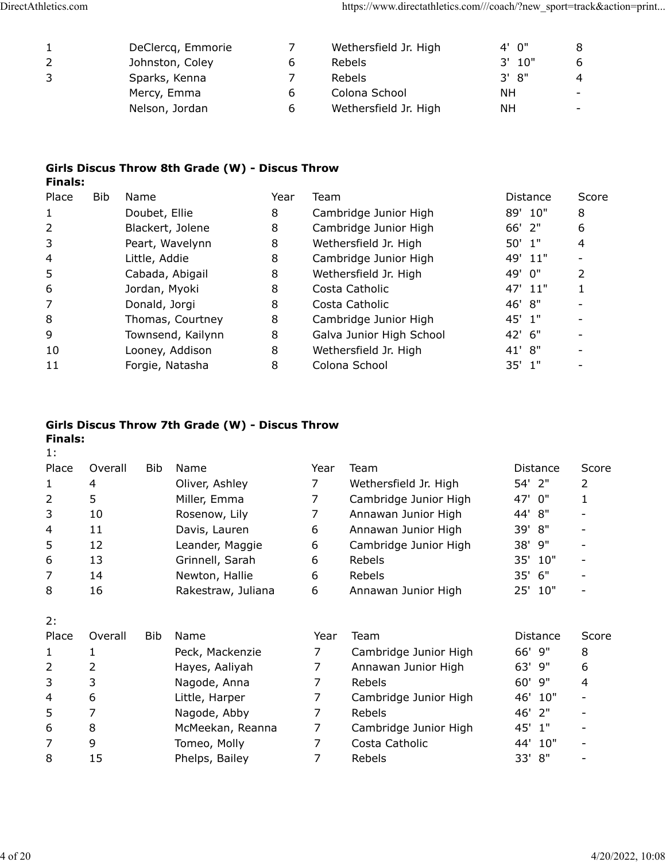| DeClercq, Emmorie |   | Wethersfield Jr. High | 4' 0"     |                          |
|-------------------|---|-----------------------|-----------|--------------------------|
| Johnston, Coley   | b | <b>Rebels</b>         | $3'$ 10"  |                          |
| Sparks, Kenna     |   | <b>Rebels</b>         | 3' 8''    | 4                        |
| Mercy, Emma       | 6 | Colona School         | <b>NH</b> | -                        |
| Nelson, Jordan    | 6 | Wethersfield Jr. High | <b>NH</b> | $\overline{\phantom{a}}$ |

#### **Girls Discus Throw 8th Grade (W) - Discus Throw Finals:**

| Place | Bib. | Name              | Year | Team                     | Distance | Score |
|-------|------|-------------------|------|--------------------------|----------|-------|
| 1     |      | Doubet, Ellie     | 8    | Cambridge Junior High    | 89' 10"  | 8     |
| 2     |      | Blackert, Jolene  | 8    | Cambridge Junior High    | $66'$ 2" | 6     |
| 3     |      | Peart, Wavelynn   | 8    | Wethersfield Jr. High    | $50'$ 1" | 4     |
| 4     |      | Little, Addie     | 8    | Cambridge Junior High    | 49' 11"  |       |
| 5     |      | Cabada, Abigail   | 8    | Wethersfield Jr. High    | 49' 0"   | 2     |
| 6     |      | Jordan, Myoki     | 8    | Costa Catholic           | 47' 11"  |       |
| 7     |      | Donald, Jorgi     | 8    | Costa Catholic           | 46' 8"   |       |
| 8     |      | Thomas, Courtney  | 8    | Cambridge Junior High    | 45' 1"   |       |
| 9     |      | Townsend, Kailynn | 8    | Galva Junior High School | 42' 6"   |       |
| 10    |      | Looney, Addison   | 8    | Wethersfield Jr. High    | 41' 8''  |       |
| 11    |      | Forgie, Natasha   | 8    | Colona School            | $35'$ 1" |       |

### **Girls Discus Throw 7th Grade (W) - Discus Throw Finals:**

1:

| . .   |         |     |                    |      |                       |                 |       |
|-------|---------|-----|--------------------|------|-----------------------|-----------------|-------|
| Place | Overall | Bib | Name               | Year | Team                  | <b>Distance</b> | Score |
|       | 4       |     | Oliver, Ashley     | 7    | Wethersfield Jr. High | 54' 2"          | 2     |
| 2     | 5       |     | Miller, Emma       |      | Cambridge Junior High | 47'<br>0"       | 1     |
| 3     | 10      |     | Rosenow, Lily      |      | Annawan Junior High   | 8"<br>44'       |       |
| 4     | 11      |     | Davis, Lauren      | 6    | Annawan Junior High   | 8"<br>39'       |       |
| 5     | 12      |     | Leander, Maggie    | 6    | Cambridge Junior High | 38'<br>9"       |       |
| 6     | 13      |     | Grinnell, Sarah    | 6    | Rebels                | 10"<br>35'      |       |
|       | 14      |     | Newton, Hallie     | 6    | Rebels                | 6"<br>35'       |       |
| 8     | 16      |     | Rakestraw, Juliana | 6    | Annawan Junior High   | 25'<br>10"      |       |
| 2:    |         |     |                    |      |                       |                 |       |
| Place | Overall | Bib | Name               | Year | Team                  | Distance        | Score |
|       |         |     | Peck, Mackenzie    | 7    | Cambridge Junior High | 66' 9"          | 8     |
| 2     | 2       |     | Hayes, Aaliyah     | 7    | Annawan Junior High   | 63'<br>9"       | 6     |
| 3     | 3       |     | Nagode, Anna       | 7    | Rebels                | 60' 9"          | 4     |
| 4     | 6       |     | Little, Harper     | 7    | Cambridge Junior High | 10"<br>46'      |       |
| 5     | 7       |     | Nagode, Abby       | 7    | Rebels                | 2"<br>46'       |       |
| 6     | 8       |     | McMeekan, Reanna   | 7    | Cambridge Junior High | 1"<br>45'       |       |

7 9 Tomeo, Molly 7 Costa Catholic 44' 10" - 8 15 Phelps, Bailey 7 Rebels 33' 8" -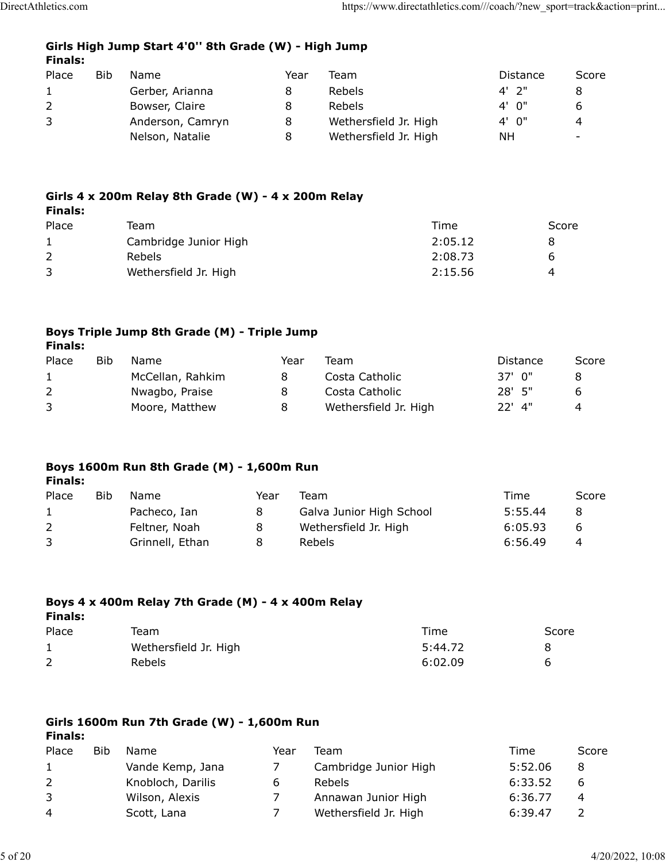## **Girls High Jump Start 4'0'' 8th Grade (W) - High Jump Finals:**

| Place        | Bib. | Name             | Year | Team                  | Distance | Score |
|--------------|------|------------------|------|-----------------------|----------|-------|
| $\mathbf{1}$ |      | Gerber, Arianna  |      | <b>Rebels</b>         | $4'$ 2"  |       |
| 2            |      | Bowser, Claire   |      | <b>Rebels</b>         | 4' 0''   | 6     |
| 3            |      | Anderson, Camryn | 8    | Wethersfield Jr. High | 4' 0''   | 4     |
|              |      | Nelson, Natalie  | 8    | Wethersfield Jr. High | ΝH       |       |

#### **Girls 4 x 200m Relay 8th Grade (W) - 4 x 200m Relay Finals:**

| Place | Team                  | Time    | Score |
|-------|-----------------------|---------|-------|
|       | Cambridge Junior High | 2:05.12 |       |
|       | <b>Rebels</b>         | 2:08.73 | h     |
|       | Wethersfield Jr. High | 2:15.56 | 4     |
|       |                       |         |       |

#### **Boys Triple Jump 8th Grade (M) - Triple Jump Finals:**

| Bib | Name             | Year | Team                  | Distance | Score |
|-----|------------------|------|-----------------------|----------|-------|
|     | McCellan, Rahkim | 8    | Costa Catholic        | 37' O"   |       |
|     | Nwagbo, Praise   |      | Costa Catholic        | $28'$ 5" | b     |
|     | Moore, Matthew   | 8    | Wethersfield Jr. High | $22'$ 4" | 4     |
|     |                  |      |                       |          |       |

# **Boys 1600m Run 8th Grade (M) - 1,600m Run**

| <b>Finals:</b> |            |                 |      |                          |         |       |
|----------------|------------|-----------------|------|--------------------------|---------|-------|
| Place          | <b>Bib</b> | Name            | Year | Team                     | Time    | Score |
| $\mathbf{1}$   |            | Pacheco, Ian    | 8    | Galva Junior High School | 5:55.44 | 8     |
|                |            | Feltner, Noah   | 8    | Wethersfield Jr. High    | 6:05.93 | b     |
| 3              |            | Grinnell, Ethan | 8    | Rebels                   | 6:56.49 | 4     |

# **Boys 4 x 400m Relay 7th Grade (M) - 4 x 400m Relay Finals:**

| Place | Team                  | Time    | Score |
|-------|-----------------------|---------|-------|
|       | Wethersfield Jr. High | 5:44.72 |       |
|       | Rebels                | 6:02.09 |       |

# **Girls 1600m Run 7th Grade (W) - 1,600m Run**

**Finals:**

| Place        | Bib | Name              | Year | Team                  | Time    | Score |
|--------------|-----|-------------------|------|-----------------------|---------|-------|
| $\mathbf{1}$ |     | Vande Kemp, Jana  |      | Cambridge Junior High | 5:52.06 | -8    |
| 2            |     | Knobloch, Darilis | b    | <b>Rebels</b>         | 6:33.52 | b     |
| 3            |     | Wilson, Alexis    |      | Annawan Junior High   | 6:36.77 | 4     |
| 4            |     | Scott, Lana       |      | Wethersfield Jr. High | 6:39.47 |       |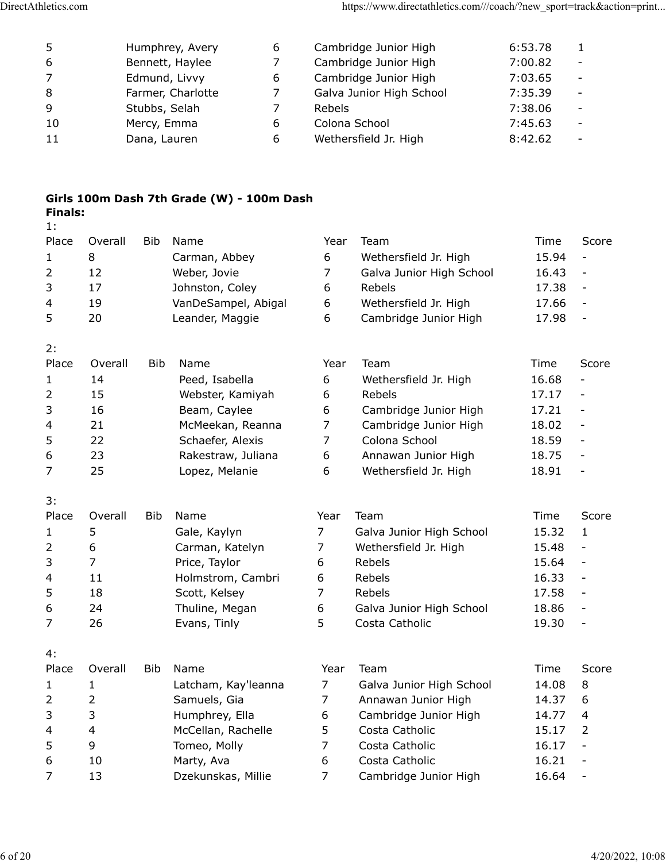| 5  | Humphrey, Avery   | 6 | Cambridge Junior High    | 6:53.78 |                          |
|----|-------------------|---|--------------------------|---------|--------------------------|
| 6  | Bennett, Haylee   |   | Cambridge Junior High    | 7:00.82 |                          |
| 7  | Edmund, Livvy     | 6 | Cambridge Junior High    | 7:03.65 |                          |
| 8  | Farmer, Charlotte | 7 | Galva Junior High School | 7:35.39 |                          |
| 9  | Stubbs, Selah     |   | Rebels                   | 7:38.06 |                          |
| 10 | Mercy, Emma       | 6 | Colona School            | 7:45.63 |                          |
| 11 | Dana, Lauren      | 6 | Wethersfield Jr. High    | 8:42.62 | $\overline{\phantom{0}}$ |

### **Girls 100m Dash 7th Grade (W) - 100m Dash Finals:** 1:

| Place<br>1<br>2<br>3<br>4<br>5 | Overall<br>8<br>12<br>17<br>19<br>20 | <b>Bib</b> | Name<br>Carman, Abbey<br>Weber, Jovie<br>Johnston, Coley<br>VanDeSampel, Abigal<br>Leander, Maggie | Year<br>6<br>$\overline{7}$<br>6<br>6<br>6 | Team<br>Wethersfield Jr. High<br>Galva Junior High School<br>Rebels<br>Wethersfield Jr. High<br>Cambridge Junior High | Time<br>15.94<br>16.43<br>17.38<br>17.66<br>17.98 | Score<br>$\overline{\phantom{a}}$<br>$\frac{1}{2}$<br>$\overline{\phantom{0}}$<br>$\frac{1}{2}$<br>$\overline{\phantom{0}}$ |
|--------------------------------|--------------------------------------|------------|----------------------------------------------------------------------------------------------------|--------------------------------------------|-----------------------------------------------------------------------------------------------------------------------|---------------------------------------------------|-----------------------------------------------------------------------------------------------------------------------------|
| 2:                             |                                      |            |                                                                                                    |                                            |                                                                                                                       |                                                   |                                                                                                                             |
| Place                          | Overall                              | Bib        | Name                                                                                               | Year                                       | Team                                                                                                                  | Time                                              | Score                                                                                                                       |
| 1                              | 14                                   |            | Peed, Isabella                                                                                     | 6                                          | Wethersfield Jr. High                                                                                                 | 16.68                                             | $\qquad \qquad \blacksquare$                                                                                                |
| 2                              | 15                                   |            | Webster, Kamiyah                                                                                   | 6                                          | Rebels                                                                                                                | 17.17                                             | $\qquad \qquad -$                                                                                                           |
| 3                              | 16                                   |            | Beam, Caylee                                                                                       | 6                                          | Cambridge Junior High                                                                                                 | 17.21                                             | $\qquad \qquad -$                                                                                                           |
| 4                              | 21                                   |            | McMeekan, Reanna                                                                                   | $\overline{7}$                             | Cambridge Junior High                                                                                                 | 18.02                                             | $\overline{\phantom{a}}$                                                                                                    |
| 5                              | 22                                   |            | Schaefer, Alexis                                                                                   | $\overline{7}$                             | Colona School                                                                                                         | 18.59                                             | $\overline{\phantom{a}}$                                                                                                    |
| 6                              | 23                                   |            | Rakestraw, Juliana                                                                                 | 6                                          | Annawan Junior High                                                                                                   | 18.75                                             | $\overline{\phantom{a}}$                                                                                                    |
| 7                              | 25                                   |            | Lopez, Melanie                                                                                     | 6                                          | Wethersfield Jr. High                                                                                                 | 18.91                                             | $\overline{\phantom{m}}$                                                                                                    |
| 3:                             |                                      |            |                                                                                                    |                                            |                                                                                                                       |                                                   |                                                                                                                             |
| Place                          | Overall                              | <b>Bib</b> | Name                                                                                               | Year                                       | Team                                                                                                                  | Time                                              | Score                                                                                                                       |
| 1                              | 5                                    |            | Gale, Kaylyn                                                                                       | 7                                          | Galva Junior High School                                                                                              | 15.32                                             | 1                                                                                                                           |
| 2                              | 6                                    |            | Carman, Katelyn                                                                                    | $\overline{7}$                             | Wethersfield Jr. High                                                                                                 | 15.48                                             | $\overline{\phantom{0}}$                                                                                                    |
| 3                              | 7                                    |            | Price, Taylor                                                                                      | 6                                          | Rebels                                                                                                                | 15.64                                             | $\overline{\phantom{a}}$                                                                                                    |
| 4                              | 11                                   |            | Holmstrom, Cambri                                                                                  | 6                                          | Rebels                                                                                                                | 16.33                                             | $\overline{\phantom{a}}$                                                                                                    |
| 5                              | 18                                   |            | Scott, Kelsey                                                                                      | 7                                          | Rebels                                                                                                                | 17.58                                             | $\overline{\phantom{a}}$                                                                                                    |
| 6                              | 24                                   |            | Thuline, Megan                                                                                     | 6                                          | Galva Junior High School                                                                                              | 18.86                                             | $\overline{\phantom{a}}$                                                                                                    |
| 7                              | 26                                   |            | Evans, Tinly                                                                                       | 5                                          | Costa Catholic                                                                                                        | 19.30                                             | $\overline{\phantom{a}}$                                                                                                    |
| 4:                             |                                      |            |                                                                                                    |                                            |                                                                                                                       |                                                   |                                                                                                                             |
| Place                          | Overall                              | <b>Bib</b> | Name                                                                                               | Year                                       | Team                                                                                                                  | Time                                              | Score                                                                                                                       |
| 1                              | 1                                    |            | Latcham, Kay'leanna                                                                                | $\overline{7}$                             | Galva Junior High School                                                                                              | 14.08                                             | 8                                                                                                                           |
| 2                              | 2                                    |            | Samuels, Gia                                                                                       | $\overline{7}$                             | Annawan Junior High                                                                                                   | 14.37                                             | 6                                                                                                                           |
| 3                              | 3                                    |            | Humphrey, Ella                                                                                     | 6                                          | Cambridge Junior High                                                                                                 | 14.77                                             | 4                                                                                                                           |
| $\overline{\mathbf{4}}$        | $\overline{\mathbf{4}}$              |            | McCellan, Rachelle                                                                                 | 5                                          | Costa Catholic                                                                                                        | 15.17                                             | $\overline{2}$                                                                                                              |
| 5                              | 9                                    |            | Tomeo, Molly                                                                                       | $\overline{7}$                             | Costa Catholic                                                                                                        | 16.17                                             | $\overline{a}$                                                                                                              |
| 6                              | 10                                   |            | Marty, Ava                                                                                         | 6                                          | Costa Catholic                                                                                                        | 16.21                                             | $\overline{\phantom{0}}$                                                                                                    |
| 7                              | 13                                   |            | Dzekunskas, Millie                                                                                 | $\overline{7}$                             | Cambridge Junior High                                                                                                 | 16.64                                             | $\overline{\phantom{0}}$                                                                                                    |
|                                |                                      |            |                                                                                                    |                                            |                                                                                                                       |                                                   |                                                                                                                             |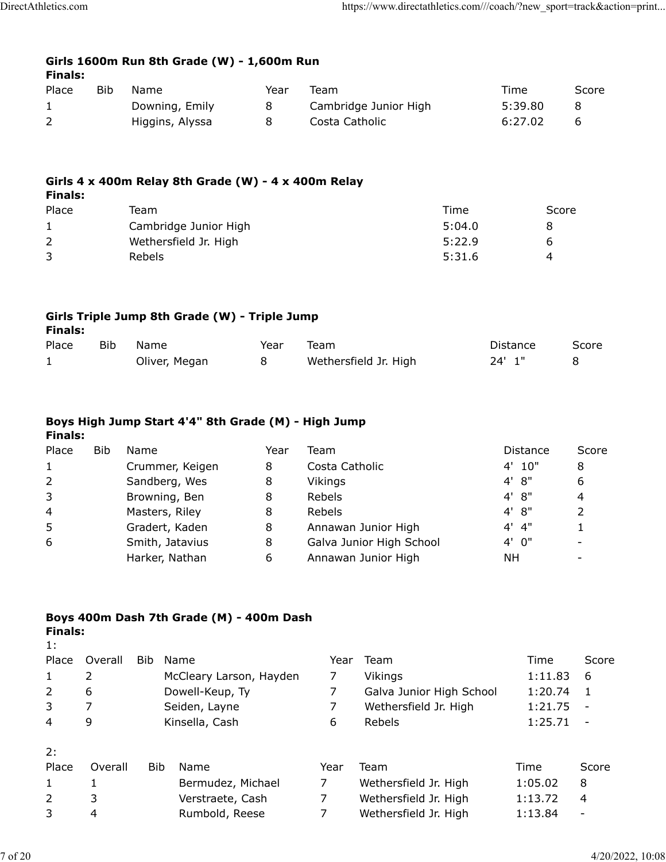| Girls 1600m Run 8th Grade (W) - 1,600m Run |  |  |  |  |
|--------------------------------------------|--|--|--|--|
| Finals:                                    |  |  |  |  |

| .     |     |                 |      |                       |         |       |
|-------|-----|-----------------|------|-----------------------|---------|-------|
| Place | Bib | Name            | Year | Team                  | Time    | Score |
|       |     | Downing, Emily  | 8    | Cambridge Junior High | 5:39.80 |       |
|       |     | Higgins, Alyssa |      | Costa Catholic        | 6:27.02 |       |

#### **Girls 4 x 400m Relay 8th Grade (W) - 4 x 400m Relay Finals:**

| Place | Team                  | Time   | Score |
|-------|-----------------------|--------|-------|
|       | Cambridge Junior High | 5:04.0 | я     |
|       | Wethersfield Jr. High | 5:22.9 | b     |
|       | <b>Rebels</b>         | 5:31.6 | 4     |

# **Girls Triple Jump 8th Grade (W) - Triple Jump**

| m<br>ı<br>п<br>٠<br>×<br>× |
|----------------------------|
|----------------------------|

| Place | Bib | Name          | Year | Team                  | Distance | Score |
|-------|-----|---------------|------|-----------------------|----------|-------|
|       |     | Oliver, Megan |      | Wethersfield Jr. High | 24' 1"   |       |

### **Boys High Jump Start 4'4" 8th Grade (M) - High Jump Finals:**

# Place Bib Name  $Year$  Team  $Year$  and  $Year$  Distance Score 1 Crummer, Keigen 8 Costa Catholic 4' 10" 8 2 Sandberg, Wes 8 Vikings 1997 1998 4' 8" 6 3 Browning, Ben 8 Rebels 4' 8" 4 4 Masters, Riley 8 Rebels 4' 8" 2 5 Gradert, Kaden 8 Annawan Junior High 4' 4" 1 6 Smith, Jatavius 8 Galva Junior High School 4' 0" -Harker, Nathan  $\overline{6}$  Annawan Junior High  $\overline{6}$  NH -

#### **Boys 400m Dash 7th Grade (M) - 400m Dash Finals:**

|  | rınaıs: |  |
|--|---------|--|
|  |         |  |
|  |         |  |

| Place          | Overall | Bib | Name                    | Year | Team                     | Time    | Score  |
|----------------|---------|-----|-------------------------|------|--------------------------|---------|--------|
| 1              | 2       |     | McCleary Larson, Hayden |      | Vikings                  | 1:11.83 | 6      |
| 2              | 6       |     | Dowell-Keup, Ty         |      | Galva Junior High School | 1:20.74 | 1      |
| 3              |         |     | Seiden, Layne           |      | Wethersfield Jr. High    | 1:21.75 |        |
| $\overline{4}$ | 9       |     | Kinsella, Cash          | 6    | Rebels                   | 1:25.71 | $\sim$ |
|                |         |     |                         |      |                          |         |        |
| 2:             |         |     |                         |      |                          |         |        |
| Place          | Overall | Bib | Name                    | Year | Team                     | Time    | Score  |
| 1              |         |     | Bermudez, Michael       | 7    | Wethersfield Jr. High    | 1:05.02 | 8      |
| 2              | 3       |     | Verstraete, Cash        | 7    | Wethersfield Jr. High    | 1:13.72 | 4      |
| 3              | 4       |     | Rumbold, Reese          |      | Wethersfield Jr. High    | 1:13.84 |        |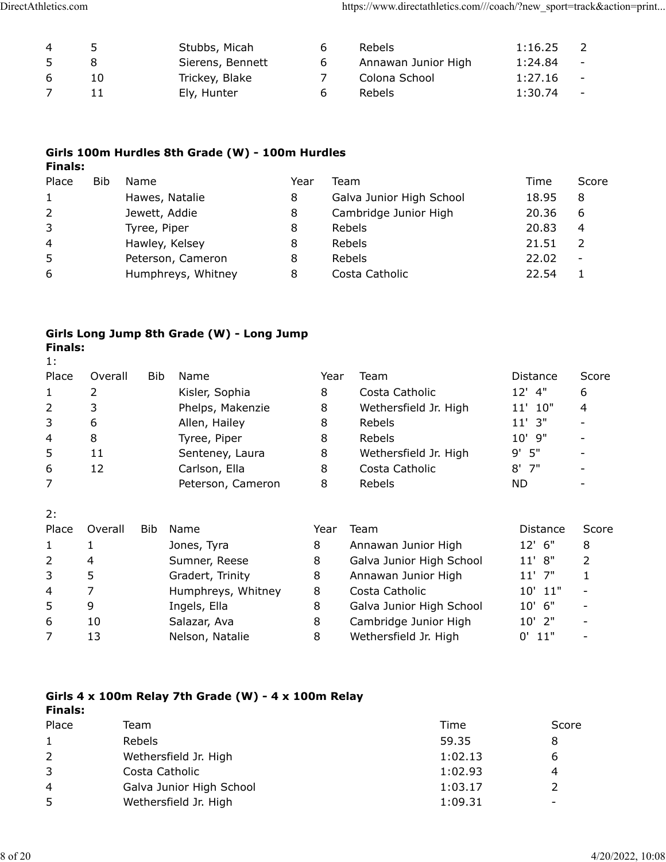| 4  | 5 <sup>1</sup> | Stubbs, Micah    | b | Rebels              | 1:16.25 |        |
|----|----------------|------------------|---|---------------------|---------|--------|
| 5  |                | Sierens, Bennett |   | Annawan Junior High | 1:24.84 | $\sim$ |
| 6. | 10             | Trickey, Blake   |   | Colona School       | 1:27.16 | $\sim$ |
|    |                | Ely, Hunter      | b | <b>Rebels</b>       | 1:30.74 | $\sim$ |

### **Girls 100m Hurdles 8th Grade (W) - 100m Hurdles Finals:**

| Place          | Bib | Name               | Year | Team                     | Time  | Score                    |
|----------------|-----|--------------------|------|--------------------------|-------|--------------------------|
| $\mathbf{1}$   |     | Hawes, Natalie     | 8    | Galva Junior High School | 18.95 | 8                        |
| $\overline{2}$ |     | Jewett, Addie      | 8    | Cambridge Junior High    | 20.36 | 6                        |
| 3              |     | Tyree, Piper       | 8    | Rebels                   | 20.83 | 4                        |
| $\overline{4}$ |     | Hawley, Kelsey     | 8    | Rebels                   | 21.51 |                          |
| 5              |     | Peterson, Cameron  |      | Rebels                   | 22.02 | $\overline{\phantom{a}}$ |
| 6              |     | Humphreys, Whitney | 8    | Costa Catholic           | 22.54 |                          |

#### **Girls Long Jump 8th Grade (W) - Long Jump Finals:** 1:

| <b>L.</b>      |         |     |                    |      |                          |                    |       |
|----------------|---------|-----|--------------------|------|--------------------------|--------------------|-------|
| Place          | Overall | Bib | Name               | Year | Team                     | Distance           | Score |
| 1              | 2       |     | Kisler, Sophia     | 8    | Costa Catholic           | $12'$ 4"           | 6     |
| $\overline{2}$ | 3       |     | Phelps, Makenzie   | 8    | Wethersfield Jr. High    | 11' 10"            | 4     |
| 3              | 6       |     | Allen, Hailey      | 8    | Rebels                   | $11'$ $3''$        |       |
| 4              | 8       |     | Tyree, Piper       | 8    | Rebels                   | 9"<br>$10^{\circ}$ |       |
| 5              | 11      |     | Senteney, Laura    | 8    | Wethersfield Jr. High    | $9'$ 5"            |       |
| 6              | 12      |     | Carlson, Ella      | 8    | Costa Catholic           | $8'$ 7"            |       |
| 7              |         |     | Peterson, Cameron  | 8    | Rebels                   | ND.                |       |
| 2:             |         |     |                    |      |                          |                    |       |
| Place          | Overall | Bib | Name               | Year | Team                     | <b>Distance</b>    | Score |
| 1              |         |     | Jones, Tyra        | 8    | Annawan Junior High      | 12' 6"             | 8     |
| $\overline{2}$ | 4       |     | Sumner, Reese      | 8    | Galva Junior High School | 11' 8"             | 2     |
| 3              | 5       |     | Gradert, Trinity   | 8    | Annawan Junior High      | $11'$ 7"           | 1     |
| 4              | 7       |     | Humphreys, Whitney | 8    | Costa Catholic           | 11"<br>10'         |       |
| 5              | 9       |     | Ingels, Ella       | 8    | Galva Junior High School | 6"<br>10'          |       |
| 6              | 10      |     | Salazar, Ava       | 8    | Cambridge Junior High    | 10' 2"             |       |
| 7              | 13      |     | Nelson, Natalie    | 8    | Wethersfield Jr. High    | 11"<br>0'          |       |
|                |         |     |                    |      |                          |                    |       |

#### **Girls 4 x 100m Relay 7th Grade (W) - 4 x 100m Relay Finals:**

| .              |                          |         |       |
|----------------|--------------------------|---------|-------|
| Place          | Team                     | Time    | Score |
| $\mathbf{1}$   | <b>Rebels</b>            | 59.35   |       |
| $\overline{2}$ | Wethersfield Jr. High    | 1:02.13 |       |
| 3              | Costa Catholic           | 1:02.93 |       |
| 4              | Galva Junior High School | 1:03.17 |       |
| 5              | Wethersfield Jr. High    | 1:09.31 |       |
|                |                          |         |       |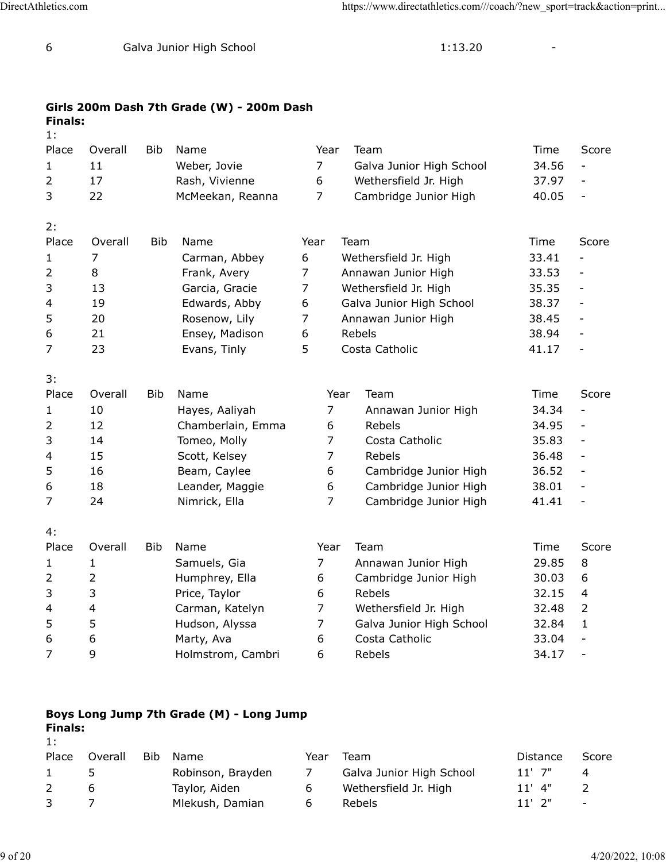| 6              | Galva Junior High School |            |                                           |                | 1:13.20                  |       |                              |
|----------------|--------------------------|------------|-------------------------------------------|----------------|--------------------------|-------|------------------------------|
| <b>Finals:</b> |                          |            | Girls 200m Dash 7th Grade (W) - 200m Dash |                |                          |       |                              |
| 1:             |                          |            |                                           |                |                          |       |                              |
| Place          | Overall                  | Bib        | Name                                      | Year           | Team                     | Time  | Score                        |
| 1              | 11                       |            | Weber, Jovie                              | 7              | Galva Junior High School | 34.56 | $\qquad \qquad \blacksquare$ |
| $\overline{2}$ | 17                       |            | Rash, Vivienne                            | 6              | Wethersfield Jr. High    | 37.97 | $\overline{\phantom{0}}$     |
| 3              | 22                       |            | McMeekan, Reanna                          | $\overline{7}$ | Cambridge Junior High    | 40.05 | $\overline{\phantom{0}}$     |
| 2:             |                          |            |                                           |                |                          |       |                              |
| Place          | Overall                  | <b>Bib</b> | Name                                      | Year           | Team                     | Time  | Score                        |
| 1              | 7                        |            | Carman, Abbey                             | 6              | Wethersfield Jr. High    | 33.41 |                              |
| 2              | 8                        |            | Frank, Avery                              | $\overline{7}$ | Annawan Junior High      | 33.53 | $\overline{\phantom{0}}$     |
| 3              | 13                       |            | Garcia, Gracie                            | $\overline{7}$ | Wethersfield Jr. High    | 35.35 | $\overline{\phantom{a}}$     |
| 4              | 19                       |            | Edwards, Abby                             | 6              | Galva Junior High School | 38.37 | $\overline{\phantom{a}}$     |
| 5              | 20                       |            | Rosenow, Lily                             | $\overline{7}$ | Annawan Junior High      | 38.45 | $\overline{\phantom{a}}$     |
| 6              | 21                       |            | Ensey, Madison                            | 6              | Rebels                   | 38.94 | $\overline{\phantom{a}}$     |
| $\overline{7}$ | 23                       |            | Evans, Tinly                              | 5              | Costa Catholic           | 41.17 | $\overline{\phantom{a}}$     |
| 3:             |                          |            |                                           |                |                          |       |                              |
| Place          | Overall                  | <b>Bib</b> | Name                                      |                | Year<br>Team             | Time  | Score                        |
| 1              | 10                       |            | Hayes, Aaliyah                            | $\overline{7}$ | Annawan Junior High      | 34.34 | $\overline{\phantom{0}}$     |
| $\overline{2}$ | 12                       |            | Chamberlain, Emma                         | 6              | Rebels                   | 34.95 | $\qquad \qquad -$            |
| 3              | 14                       |            | Tomeo, Molly                              | 7              | Costa Catholic           | 35.83 | $\qquad \qquad -$            |
| 4              | 15                       |            | Scott, Kelsey                             | 7              | Rebels                   | 36.48 | $\qquad \qquad -$            |
| 5              | 16                       |            | Beam, Caylee                              | 6              | Cambridge Junior High    | 36.52 | $\overline{\phantom{a}}$     |
| 6              | 18                       |            | Leander, Maggie                           | 6              | Cambridge Junior High    | 38.01 | $\overline{\phantom{0}}$     |
| 7              | 24                       |            | Nimrick, Ella                             | 7              | Cambridge Junior High    | 41.41 | $\qquad \qquad -$            |
| 4:             |                          |            |                                           |                |                          |       |                              |
| Place          | Overall                  | <b>Bib</b> | Name                                      | Year           | Team                     | Time  | Score                        |
| 1              | 1                        |            | Samuels, Gia                              | 7              | Annawan Junior High      | 29.85 | 8                            |
| 2              | 2                        |            | Humphrey, Ella                            | 6              | Cambridge Junior High    | 30.03 | 6                            |
| 3              | 3                        |            | Price, Taylor                             | 6              | Rebels                   | 32.15 | 4                            |
| 4              | 4                        |            | Carman, Katelyn                           | 7              | Wethersfield Jr. High    | 32.48 | 2                            |
| 5              | 5                        |            | Hudson, Alyssa                            | $\overline{7}$ | Galva Junior High School | 32.84 | 1                            |

# **Boys Long Jump 7th Grade (M) - Long Jump**

| <b>Finals:</b><br>1: |         |     |                   |      |                          |             |       |
|----------------------|---------|-----|-------------------|------|--------------------------|-------------|-------|
| Place                | Overall | Bib | Name              | Year | Team                     | Distance    | Score |
|                      |         |     | Robinson, Brayden |      | Galva Junior High School | $11'$ $7''$ | 4     |
|                      | b       |     | Taylor, Aiden     | 6    | Wethersfield Jr. High    | $11'$ 4"    |       |
|                      |         |     | Mlekush, Damian   | b    | Rebels                   | $11'$ $2''$ | -     |

6 6 Marty, Ava 6 Costa Catholic 33.04 -7 9 Holmstrom, Cambri 6 Rebels 34.17 -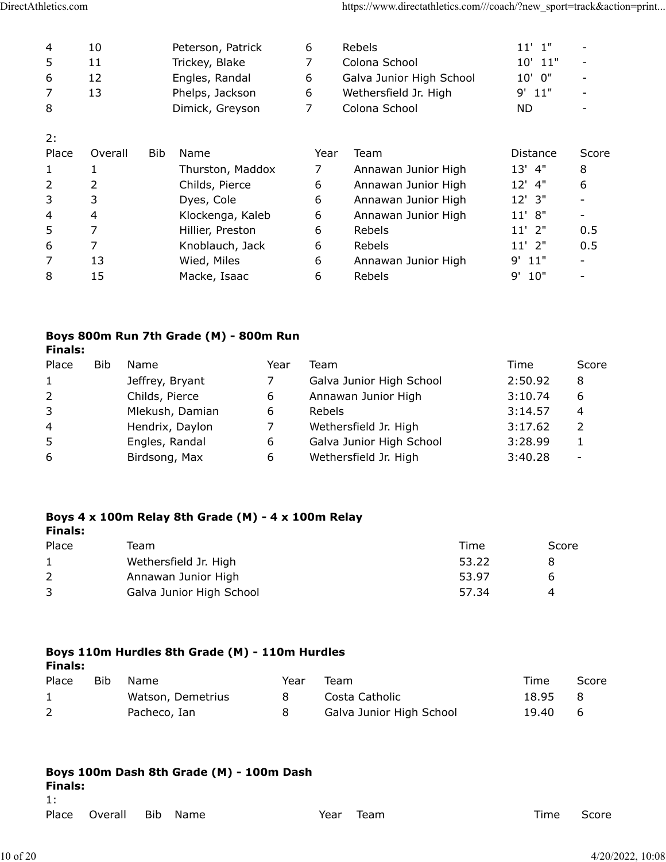| 4              | 10      | Peterson, Patrick  | 6    | Rebels                   | $11'$ $1"$  |       |
|----------------|---------|--------------------|------|--------------------------|-------------|-------|
| 5              | 11      | Trickey, Blake     | 7    | Colona School            | $10'$ $11"$ |       |
| 6              | 12      | Engles, Randal     | 6    | Galva Junior High School | $10'$ $0''$ |       |
| 7              | 13      | Phelps, Jackson    | 6    | Wethersfield Jr. High    | $9'$ 11"    |       |
| 8              |         | Dimick, Greyson    | 7    | Colona School            | ND.         |       |
| 2:             |         |                    |      |                          |             |       |
| Place          | Overall | <b>Bib</b><br>Name | Year | Team                     | Distance    | Score |
| 1              |         | Thurston, Maddox   | 7    | Annawan Junior High      | $13'$ 4"    | 8     |
| $\overline{2}$ | 2       | Childs, Pierce     | 6    | Annawan Junior High      | 12' 4"      | 6     |
| 3              | 3       | Dyes, Cole         | 6    | Annawan Junior High      | 12' 3"      |       |
| 4              | 4       | Klockenga, Kaleb   | 6    | Annawan Junior High      | 11' 8"      |       |
| 5              | 7       | Hillier, Preston   | 6    | Rebels                   | $11'$ 2"    | 0.5   |
| 6              | 7       | Knoblauch, Jack    | 6    | Rebels                   | $11'$ 2"    | 0.5   |
| 7              | 13      | Wied, Miles        | 6    | Annawan Junior High      | $9'$ 11"    |       |
| 8              | 15      | Macke, Isaac       | 6    | Rebels                   | 10"<br>9'   |       |

# **Boys 800m Run 7th Grade (M) - 800m Run**

| Finals: |  |
|---------|--|
|---------|--|

| Place          | <b>Bib</b> | Name            | Year | Team                     | Time    | Score                    |
|----------------|------------|-----------------|------|--------------------------|---------|--------------------------|
| $\mathbf{1}$   |            | Jeffrey, Bryant |      | Galva Junior High School | 2:50.92 | 8                        |
| 2              |            | Childs, Pierce  | 6    | Annawan Junior High      | 3:10.74 | 6                        |
| 3              |            | Mlekush, Damian | 6    | <b>Rebels</b>            | 3:14.57 | 4                        |
| $\overline{4}$ |            | Hendrix, Daylon |      | Wethersfield Jr. High    | 3:17.62 |                          |
| 5              |            | Engles, Randal  | 6    | Galva Junior High School | 3:28.99 |                          |
| 6              |            | Birdsong, Max   | 6    | Wethersfield Jr. High    | 3:40.28 | $\overline{\phantom{0}}$ |

#### **Boys 4 x 100m Relay 8th Grade (M) - 4 x 100m Relay Finals:**

| Team                     | Time  | Score |
|--------------------------|-------|-------|
| Wethersfield Jr. High    | 53.22 |       |
| Annawan Junior High      | 53.97 | h     |
| Galva Junior High School | 57.34 |       |
|                          |       |       |

# **Boys 110m Hurdles 8th Grade (M) - 110m Hurdles**

| Finals: |  |
|---------|--|
|         |  |

| Place | Bib | Name              | Year | Team                     | Time    | Score |
|-------|-----|-------------------|------|--------------------------|---------|-------|
|       |     | Watson, Demetrius |      | Costa Catholic           | 18.95 8 |       |
| 2     |     | Pacheco, Ian      |      | Galva Junior High School | 19.40 6 |       |

| Finals: | Boys 100m Dash 8th Grade (M) - 100m Dash |            |      |      |      |  |      |       |
|---------|------------------------------------------|------------|------|------|------|--|------|-------|
| $\pm$   |                                          |            |      |      |      |  |      |       |
| Place   | Overall                                  | <b>Bib</b> | Name | Year | Team |  | Time | Score |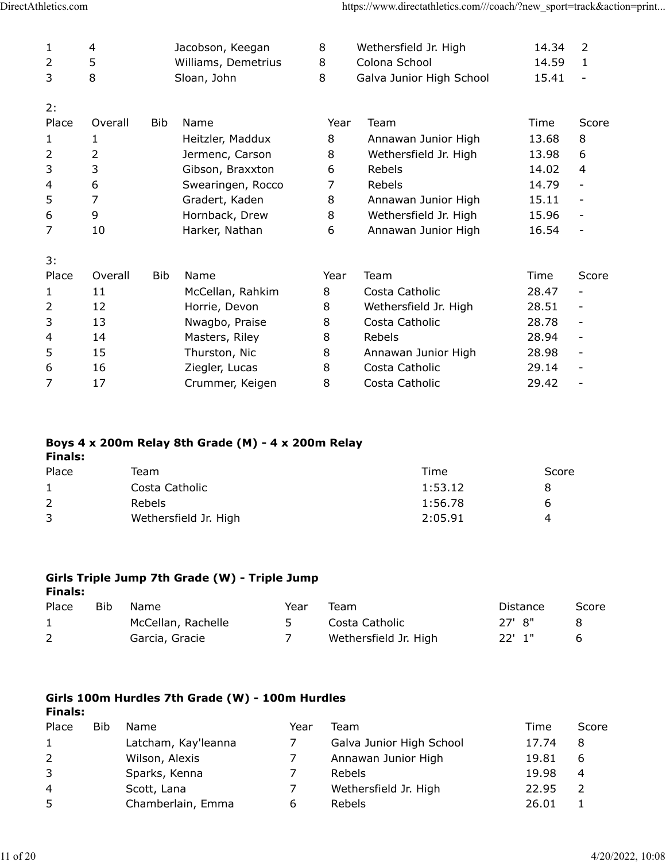| 1     | 4              |            | Jacobson, Keegan    | 8    | Wethersfield Jr. High    | 14.34 | 2                        |
|-------|----------------|------------|---------------------|------|--------------------------|-------|--------------------------|
| 2     | 5              |            | Williams, Demetrius | 8    | Colona School            | 14.59 | 1                        |
| 3     | 8              |            | Sloan, John         | 8    | Galva Junior High School | 15.41 | $\overline{\phantom{a}}$ |
| 2:    |                |            |                     |      |                          |       |                          |
| Place | Overall        | <b>Bib</b> | Name                | Year | Team                     | Time  | Score                    |
| 1     | 1              |            | Heitzler, Maddux    | 8    | Annawan Junior High      | 13.68 | 8                        |
| 2     | 2              |            | Jermenc, Carson     | 8    | Wethersfield Jr. High    | 13.98 | 6                        |
| 3     | 3              |            | Gibson, Braxxton    | 6    | Rebels                   | 14.02 | 4                        |
| 4     | 6              |            | Swearingen, Rocco   | 7    | Rebels                   | 14.79 | $\overline{\phantom{a}}$ |
| 5     | $\overline{7}$ |            | Gradert, Kaden      | 8    | Annawan Junior High      | 15.11 |                          |
| 6     | 9              |            | Hornback, Drew      | 8    | Wethersfield Jr. High    | 15.96 |                          |
| 7     | 10             |            | Harker, Nathan      | 6    | Annawan Junior High      | 16.54 |                          |
| 3:    |                |            |                     |      |                          |       |                          |
| Place | Overall        | Bib        | Name                | Year | Team                     | Time  | Score                    |
| 1     | 11             |            | McCellan, Rahkim    | 8    | Costa Catholic           | 28.47 |                          |
| 2     | 12             |            | Horrie, Devon       | 8    | Wethersfield Jr. High    | 28.51 | $\overline{\phantom{a}}$ |
| 3     | 13             |            | Nwagbo, Praise      | 8    | Costa Catholic           | 28.78 | $\overline{\phantom{a}}$ |
| 4     | 14             |            | Masters, Riley      | 8    | Rebels                   | 28.94 |                          |
| 5     | 15             |            | Thurston, Nic       | 8    | Annawan Junior High      | 28.98 | $\overline{\phantom{a}}$ |
| 6     | 16             |            | Ziegler, Lucas      | 8    | Costa Catholic           | 29.14 |                          |
| 7     | 17             |            | Crummer, Keigen     | 8    | Costa Catholic           | 29.42 |                          |

#### **Boys 4 x 200m Relay 8th Grade (M) - 4 x 200m Relay Finals:**

| Place | Team                  | Time    | Score |
|-------|-----------------------|---------|-------|
|       | Costa Catholic        | 1:53.12 |       |
|       | Rebels                | 1:56.78 | h     |
|       | Wethersfield Jr. High | 2:05.91 | 4     |

#### **Girls Triple Jump 7th Grade (W) - Triple Jump Finals:**

| rınaıs:      |     |                    |      |                       |          |       |
|--------------|-----|--------------------|------|-----------------------|----------|-------|
| Place        | Bib | Name               | Year | Team                  | Distance | Score |
| $\mathbf{1}$ |     | McCellan, Rachelle |      | Costa Catholic        | 27' 8"   |       |
|              |     | Garcia, Gracie     |      | Wethersfield Jr. High | $22'$ 1" |       |
|              |     |                    |      |                       |          |       |

#### **Girls 100m Hurdles 7th Grade (W) - 100m Hurdles Finals:**

| .              |            |                     |      |                          |       |       |
|----------------|------------|---------------------|------|--------------------------|-------|-------|
| Place          | <b>Bib</b> | Name                | Year | Team                     | Time  | Score |
| 1              |            | Latcham, Kay'leanna |      | Galva Junior High School | 17.74 | 8     |
| $\overline{2}$ |            | Wilson, Alexis      |      | Annawan Junior High      | 19.81 | 6     |
| 3              |            | Sparks, Kenna       |      | Rebels                   | 19.98 | 4     |
| 4              |            | Scott, Lana         |      | Wethersfield Jr. High    | 22.95 |       |
| 5              |            | Chamberlain, Emma   |      | Rebels                   | 26.01 |       |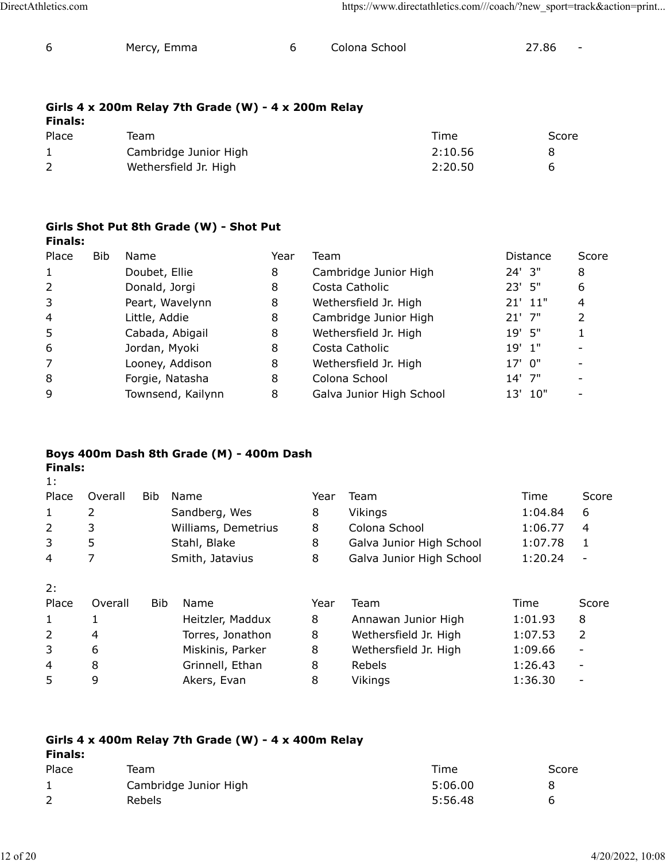1:

| Mercy, Emma | Colona School | 27.86 | $\overline{\phantom{a}}$ |
|-------------|---------------|-------|--------------------------|
|             |               |       |                          |

# **Girls 4 x 200m Relay 7th Grade (W) - 4 x 200m Relay**

| <b>Finals:</b> |                       |         |       |
|----------------|-----------------------|---------|-------|
| Place          | Team                  | Time    | Score |
|                | Cambridge Junior High | 2:10.56 |       |
|                | Wethersfield Jr. High | 2:20.50 | h     |

### **Girls Shot Put 8th Grade (W) - Shot Put Finals:**

| Place          | <b>Bib</b> | Name              | Year | Team                     | <b>Distance</b> | Score |
|----------------|------------|-------------------|------|--------------------------|-----------------|-------|
| 1              |            | Doubet, Ellie     | 8    | Cambridge Junior High    | 24' 3"          | 8     |
| 2              |            | Donald, Jorgi     | 8    | Costa Catholic           | 23' 5"          | 6     |
| 3              |            | Peart, Wavelynn   | 8    | Wethersfield Jr. High    | $21'$ $11''$    | 4     |
| $\overline{4}$ |            | Little, Addie     | 8    | Cambridge Junior High    | $21'$ 7"        | 2     |
| 5              |            | Cabada, Abigail   | 8    | Wethersfield Jr. High    | 19' 5"          |       |
| 6              |            | Jordan, Myoki     | 8    | Costa Catholic           | $19'$ $1"$      |       |
| 7              |            | Looney, Addison   | 8    | Wethersfield Jr. High    | $17'$ 0"        |       |
| 8              |            | Forgie, Natasha   | 8    | Colona School            | $14'$ 7"        |       |
| 9              |            | Townsend, Kailynn | 8    | Galva Junior High School | 10"<br>13'      |       |

### **Boys 400m Dash 8th Grade (M) - 400m Dash Finals:**

| Place        | Overall | Bib        | Name                | Year | Team                     | Time    | Score                        |
|--------------|---------|------------|---------------------|------|--------------------------|---------|------------------------------|
| $\mathbf{1}$ | 2       |            | Sandberg, Wes       | 8    | Vikings                  | 1:04.84 | 6                            |
| 2            | 3       |            | Williams, Demetrius | 8    | Colona School            | 1:06.77 | 4                            |
| 3            | 5       |            | Stahl, Blake        | 8    | Galva Junior High School | 1:07.78 | 1                            |
| 4            |         |            | Smith, Jatavius     | 8    | Galva Junior High School | 1:20.24 |                              |
| 2:           |         |            |                     |      |                          |         |                              |
| Place        | Overall | <b>Bib</b> | Name                | Year | Team                     | Time    | Score                        |
| $\mathbf{1}$ | 1       |            | Heitzler, Maddux    | 8    | Annawan Junior High      | 1:01.93 | 8                            |
| 2            | 4       |            | Torres, Jonathon    | 8    | Wethersfield Jr. High    | 1:07.53 | 2                            |
| 3            | 6       |            | Miskinis, Parker    | 8    | Wethersfield Jr. High    | 1:09.66 | -                            |
| 4            | 8       |            | Grinnell, Ethan     | 8    | Rebels                   | 1:26.43 | $\overline{\phantom{a}}$     |
| 5            | 9       |            | Akers, Evan         | 8    | Vikings                  | 1:36.30 | $\qquad \qquad \blacksquare$ |

| Finals: | Girls 4 x 400m Relay 7th Grade (W) - 4 x 400m Relay |         |       |  |  |  |  |  |
|---------|-----------------------------------------------------|---------|-------|--|--|--|--|--|
| Place   | Team                                                | Time    | Score |  |  |  |  |  |
|         | Cambridge Junior High                               | 5:06.00 |       |  |  |  |  |  |
|         | <b>Rebels</b>                                       | 5:56.48 | h     |  |  |  |  |  |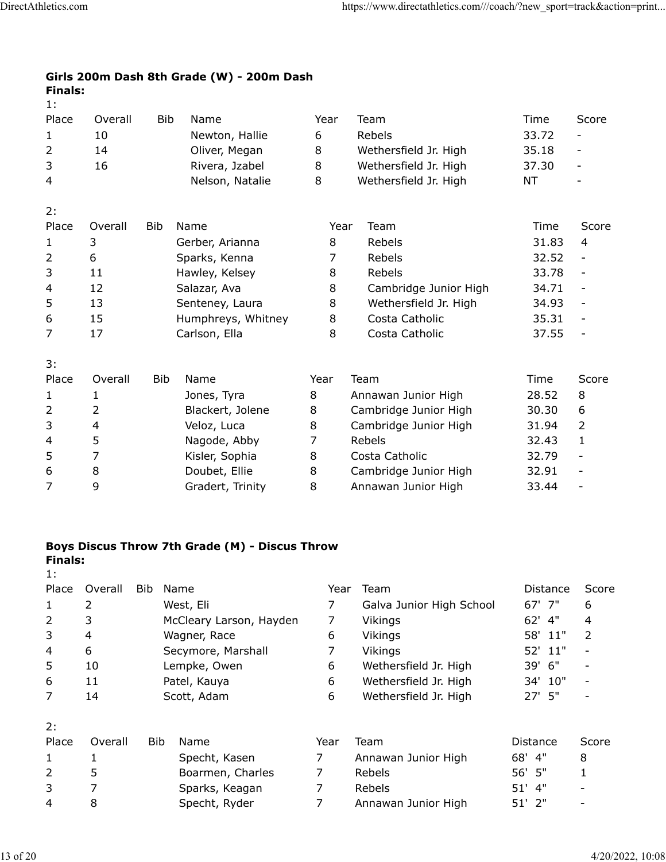### **Girls 200m Dash 8th Grade (W) - 200m Dash Finals:** 1:

| Place          | Overall | <b>Bib</b> | Name               | Year | Team                  | Time  | Score                        |
|----------------|---------|------------|--------------------|------|-----------------------|-------|------------------------------|
| 1              | 10      |            | Newton, Hallie     | 6    | Rebels                | 33.72 |                              |
| $\overline{2}$ | 14      |            | Oliver, Megan      | 8    | Wethersfield Jr. High | 35.18 | -                            |
| 3              | 16      |            | Rivera, Jzabel     | 8    | Wethersfield Jr. High | 37.30 | $\overline{\phantom{a}}$     |
| 4              |         |            | Nelson, Natalie    | 8    | Wethersfield Jr. High | ΝT    |                              |
| 2:             |         |            |                    |      |                       |       |                              |
| Place          | Overall | Bib        | Name               | Year | Team                  | Time  | Score                        |
| 1              | 3       |            | Gerber, Arianna    | 8    | Rebels                | 31.83 | 4                            |
| $\overline{2}$ | 6       |            | Sparks, Kenna      | 7    | Rebels                | 32.52 |                              |
| 3              | 11      |            | Hawley, Kelsey     | 8    | Rebels                | 33.78 |                              |
| 4              | 12      |            | Salazar, Ava       | 8    | Cambridge Junior High | 34.71 | $\overline{\phantom{a}}$     |
| 5              | 13      |            | Senteney, Laura    | 8    | Wethersfield Jr. High | 34.93 |                              |
| 6              | 15      |            | Humphreys, Whitney | 8    | Costa Catholic        | 35.31 | $\qquad \qquad -$            |
| 7              | 17      |            | Carlson, Ella      | 8    | Costa Catholic        | 37.55 |                              |
| 3:             |         |            |                    |      |                       |       |                              |
| Place          | Overall | <b>Bib</b> | Name               | Year | Team                  | Time  | Score                        |
| 1              | 1       |            | Jones, Tyra        | 8    | Annawan Junior High   | 28.52 | 8                            |
| 2              | 2       |            | Blackert, Jolene   | 8    | Cambridge Junior High | 30.30 | 6                            |
| 3              | 4       |            | Veloz, Luca        | 8    | Cambridge Junior High | 31.94 | $\overline{2}$               |
| 4              | 5       |            | Nagode, Abby       | 7    | Rebels                | 32.43 | 1                            |
| 5              | 7       |            | Kisler, Sophia     | 8    | Costa Catholic        | 32.79 | $\qquad \qquad -$            |
| 6              | 8       |            | Doubet, Ellie      | 8    | Cambridge Junior High | 32.91 | $\qquad \qquad \blacksquare$ |
| 7              | 9       |            | Gradert, Trinity   | 8    | Annawan Junior High   | 33.44 | $\overline{\phantom{0}}$     |

## **Boys Discus Throw 7th Grade (M) - Discus Throw Finals:**

| Place          | Overall | Bib        | Name                    | Year | Team                     | Distance   | Score |
|----------------|---------|------------|-------------------------|------|--------------------------|------------|-------|
| $\mathbf{1}$   | 2       |            | West, Eli               |      | Galva Junior High School | 67' 7"     | 6     |
| 2              | 3       |            | McCleary Larson, Hayden | 7    | Vikings                  | 4"<br>62'  | 4     |
| 3              | 4       |            | Wagner, Race            | 6    | Vikings                  | 58' 11"    | 2     |
| 4              | 6       |            | Secymore, Marshall      | 7    | Vikings                  | 52' 11"    |       |
| 5              | 10      |            | Lempke, Owen            | 6    | Wethersfield Jr. High    | 39' 6"     |       |
| 6              | 11      |            | Patel, Kauya            | 6    | Wethersfield Jr. High    | 34' 10"    |       |
| 7              | 14      |            | Scott, Adam             | 6    | Wethersfield Jr. High    | 27' 5"     |       |
| 2:             |         |            |                         |      |                          |            |       |
| Place          | Overall | <b>Bib</b> | Name                    | Year | Team                     | Distance   | Score |
| $\mathbf{1}$   |         |            | Specht, Kasen           | 7    | Annawan Junior High      | 68'<br>-4" | 8     |
| $\overline{2}$ | 5       |            | Boarmen, Charles        | 7    | Rebels                   | 56' 5"     |       |
| 3              | 7       |            | Sparks, Keagan          | 7    | Rebels                   | 4"<br>51'  |       |
| 4              | 8       |            | Specht, Ryder           |      | Annawan Junior High      | $51'$ $2"$ |       |

1: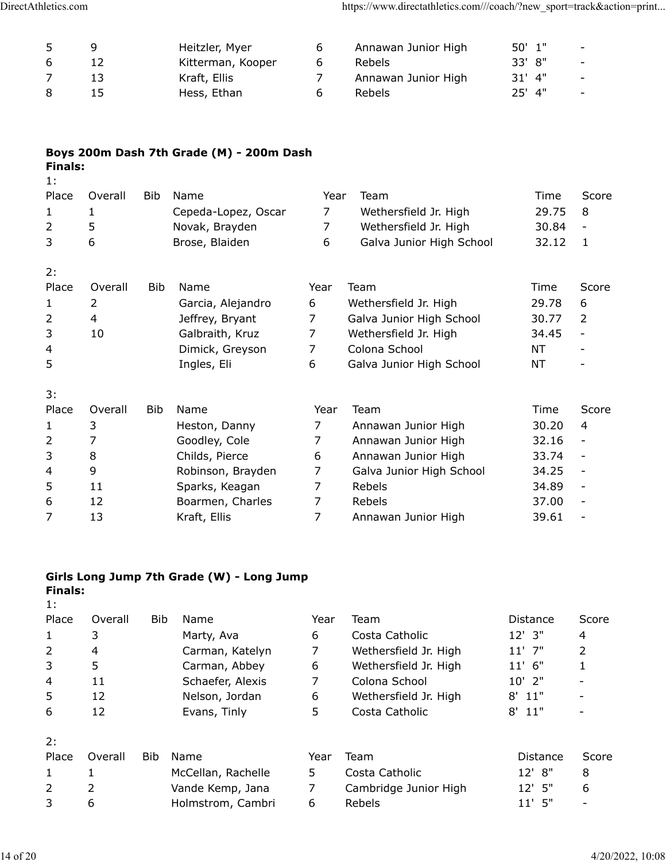|   | q  | Heitzler, Myer    |   | Annawan Junior High | 50' 1"   | $\sim$                   |
|---|----|-------------------|---|---------------------|----------|--------------------------|
| 6 |    | Kitterman, Kooper | b | Rebels              | 33' 8"   | $\sim$ $-$               |
|   | 13 | Kraft, Ellis      |   | Annawan Junior High | $31'$ 4" | $\sim$                   |
| 8 | 15 | Hess, Ethan       | h | <b>Rebels</b>       | $25'$ 4" | $\overline{\phantom{0}}$ |

# **Boys 200m Dash 7th Grade (M) - 200m Dash Finals:**

|         | <b>Bib</b> | Name                |                | Team                     | Time  | Score                    |
|---------|------------|---------------------|----------------|--------------------------|-------|--------------------------|
| 1       |            | Cepeda-Lopez, Oscar | 7              | Wethersfield Jr. High    | 29.75 | 8                        |
| 5       |            | Novak, Brayden      | 7              | Wethersfield Jr. High    | 30.84 |                          |
| 6       |            | Brose, Blaiden      | 6              | Galva Junior High School | 32.12 | 1                        |
|         |            |                     |                |                          |       |                          |
| Overall | <b>Bib</b> | Name                | Year           | Team                     | Time  | Score                    |
| 2       |            | Garcia, Alejandro   | 6              | Wethersfield Jr. High    | 29.78 | 6                        |
| 4       |            | Jeffrey, Bryant     | $\overline{7}$ | Galva Junior High School | 30.77 | 2                        |
| 10      |            | Galbraith, Kruz     | 7              | Wethersfield Jr. High    | 34.45 |                          |
|         |            | Dimick, Greyson     | 7              | Colona School            | NT    |                          |
|         |            | Ingles, Eli         | 6              | Galva Junior High School | NT    |                          |
|         |            |                     |                |                          |       |                          |
| Overall | <b>Bib</b> | Name                | Year           | Team                     | Time  | Score                    |
| 3       |            | Heston, Danny       | $\overline{7}$ | Annawan Junior High      | 30.20 | 4                        |
| 7       |            | Goodley, Cole       | $\overline{7}$ | Annawan Junior High      | 32.16 |                          |
| 8       |            | Childs, Pierce      | 6              | Annawan Junior High      | 33.74 |                          |
| 9       |            | Robinson, Brayden   | 7              | Galva Junior High School | 34.25 |                          |
| 11      |            | Sparks, Keagan      | 7              | Rebels                   | 34.89 | $\overline{\phantom{a}}$ |
| 12      |            | Boarmen, Charles    | 7              | Rebels                   | 37.00 |                          |
| 13      |            | Kraft, Ellis        | $\overline{7}$ | Annawan Junior High      | 39.61 |                          |
|         | Overall    |                     |                |                          | Year  |                          |

## **Girls Long Jump 7th Grade (W) - Long Jump Finals:**

|  |  | × |
|--|--|---|
|  |  |   |

| Place | Overall | Bib        | Name               | Year | Team                  | <b>Distance</b> | Score |
|-------|---------|------------|--------------------|------|-----------------------|-----------------|-------|
| 1     | 3       |            | Marty, Ava         | 6    | Costa Catholic        | $12'$ 3"        | 4     |
| 2     | 4       |            | Carman, Katelyn    | 7    | Wethersfield Jr. High | $11'$ 7"        | 2     |
| 3     | 5       |            | Carman, Abbey      | 6    | Wethersfield Jr. High | $11'$ 6"        | 1     |
| 4     | 11      |            | Schaefer, Alexis   | 7    | Colona School         | $10'$ 2"        |       |
| 5     | 12      |            | Nelson, Jordan     | 6    | Wethersfield Jr. High | 8'<br>11"       |       |
| 6     | 12      |            | Evans, Tinly       | 5    | Costa Catholic        | 8'<br>11"       |       |
| 2:    |         |            |                    |      |                       |                 |       |
| Place | Overall | <b>Bib</b> | Name               | Year | Team                  | Distance        | Score |
| 1     |         |            | McCellan, Rachelle | 5.   | Costa Catholic        | $12'$ $8''$     | 8     |
| 2     | 2       |            | Vande Kemp, Jana   | 7    | Cambridge Junior High | $12'$ 5"        | 6     |
| 3     | 6       |            | Holmstrom, Cambri  | 6    | Rebels                | - 5"<br>11'     |       |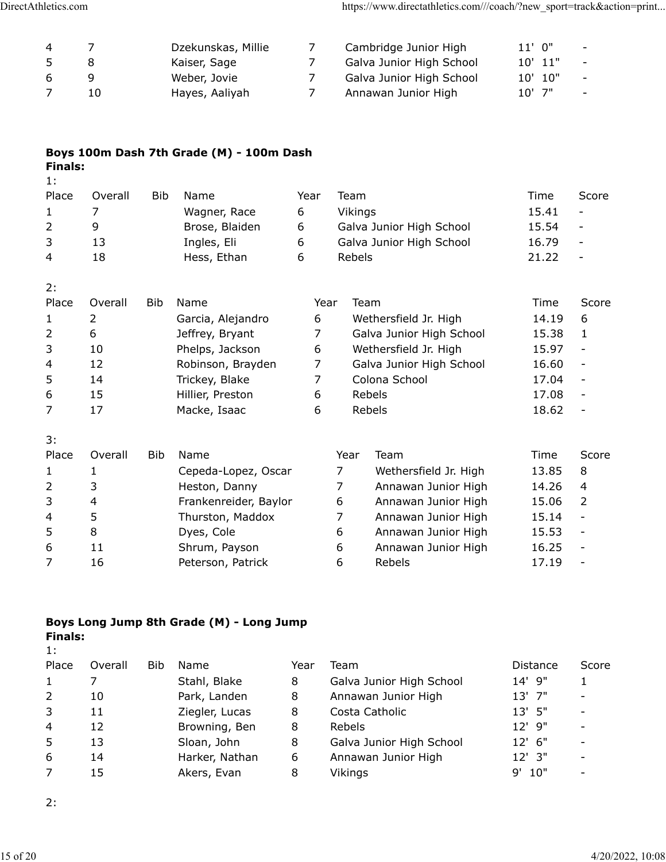| 4 |    | Dzekunskas, Millie | Cambridge Junior High    | $11'$ 0"    |             | $\sim$ |
|---|----|--------------------|--------------------------|-------------|-------------|--------|
|   |    | Kaiser, Sage       | Galva Junior High School |             | $10'$ $11"$ | $\sim$ |
| 6 |    | Weber, Jovie       | Galva Junior High School | $10'$ $10"$ |             | $\sim$ |
|   | 10 | Hayes, Aaliyah     | Annawan Junior High      | $10'$ 7"    |             | $\sim$ |

## **Boys 100m Dash 7th Grade (M) - 100m Dash Finals:**

| 1:           |         |     |                |      |                          |       |                          |
|--------------|---------|-----|----------------|------|--------------------------|-------|--------------------------|
| Place        | Overall | Bib | Name           | Year | Team                     | Time  | Score                    |
| $\mathbf{1}$ |         |     | Wagner, Race   | 6    | Vikings                  | 15.41 | $\overline{\phantom{a}}$ |
| 2            | 9       |     | Brose, Blaiden | 6    | Galva Junior High School | 15.54 | $\overline{\phantom{a}}$ |
| 3            | 13      |     | Ingles, Eli    | 6    | Galva Junior High School | 16.79 | $\overline{\phantom{a}}$ |
| 4            | 18      |     | Hess, Ethan    | 6    | Rebels                   | 21.22 | $\overline{\phantom{a}}$ |
| 2:           |         |     |                |      |                          |       |                          |

| Place          | Overall | Bib | Name              | Year | Team                     | Time  | Score                    |
|----------------|---------|-----|-------------------|------|--------------------------|-------|--------------------------|
|                |         |     | Garcia, Alejandro | 6    | Wethersfield Jr. High    | 14.19 | 6                        |
| $\mathcal{L}$  | 6       |     | Jeffrey, Bryant   |      | Galva Junior High School | 15.38 |                          |
| 3              | 10      |     | Phelps, Jackson   | 6    | Wethersfield Jr. High    | 15.97 | -                        |
| $\overline{4}$ | 12      |     | Robinson, Brayden |      | Galva Junior High School | 16.60 | $\overline{\phantom{a}}$ |
| 5              | 14      |     | Trickey, Blake    |      | Colona School            | 17.04 | $\overline{\phantom{a}}$ |
| 6              | 15      |     | Hillier, Preston  | 6    | <b>Rebels</b>            | 17.08 | $\overline{\phantom{a}}$ |
|                |         |     | Macke, Isaac      | 6    | Rebels                   | 18.62 |                          |

| 3:           |         |     |                       |      |                       |       |               |
|--------------|---------|-----|-----------------------|------|-----------------------|-------|---------------|
| Place        | Overall | Bib | Name                  | Year | Team                  | Time  | Score         |
| $\mathbf{1}$ |         |     | Cepeda-Lopez, Oscar   |      | Wethersfield Jr. High | 13.85 | 8             |
| 2            | 3       |     | Heston, Danny         |      | Annawan Junior High   | 14.26 | 4             |
| 3            | 4       |     | Frankenreider, Baylor | 6    | Annawan Junior High   | 15.06 | $\mathcal{L}$ |
| 4            | 5       |     | Thurston, Maddox      |      | Annawan Junior High   | 15.14 |               |
| 5            | 8       |     | Dyes, Cole            | 6    | Annawan Junior High   | 15.53 |               |
| 6            | 11      |     | Shrum, Payson         | 6    | Annawan Junior High   | 16.25 |               |
| 7            | 16      |     | Peterson, Patrick     | 6    | <b>Rebels</b>         | 17.19 |               |
|              |         |     |                       |      |                       |       |               |

## **Boys Long Jump 8th Grade (M) - Long Jump Finals:**

| . . |  |
|-----|--|

| Place          | Overall | Bib | Name           | Year | Team                     | Distance  | Score |
|----------------|---------|-----|----------------|------|--------------------------|-----------|-------|
|                |         |     | Stahl, Blake   | 8    | Galva Junior High School | 14' 9"    |       |
| 2              | 10      |     | Park, Landen   | 8    | Annawan Junior High      | $13'$ 7"  |       |
| 3              | 11      |     | Ziegler, Lucas | 8    | Costa Catholic           | $13'$ 5"  |       |
| $\overline{4}$ | 12      |     | Browning, Ben  | 8    | Rebels                   | $12'$ 9"  |       |
| 5              | 13      |     | Sloan, John    | 8    | Galva Junior High School | $12'$ 6"  |       |
| 6              | 14      |     | Harker, Nathan | 6    | Annawan Junior High      | $12'$ 3"  |       |
|                | 15      |     | Akers, Evan    | 8    | Vikings                  | 10"<br>q' |       |

2: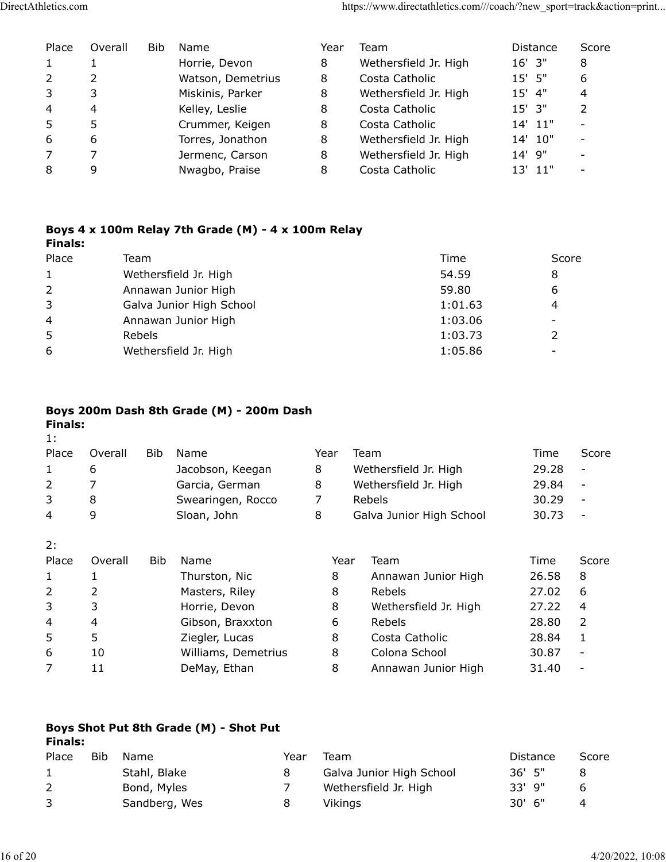| Place        | Overall | Bib | Name              | Year | Team                  | <b>Distance</b> | Score         |
|--------------|---------|-----|-------------------|------|-----------------------|-----------------|---------------|
| $\mathbf{1}$ |         |     | Horrie, Devon     | 8    | Wethersfield Jr. High | $16'$ 3"        | 8             |
| 2            |         |     | Watson, Demetrius | 8    | Costa Catholic        | 15' 5"          | 6             |
| 3            | 3       |     | Miskinis, Parker  | 8    | Wethersfield Jr. High | $15'$ 4"        | 4             |
| 4            | 4       |     | Kelley, Leslie    | 8    | Costa Catholic        | $15'$ 3"        | $\mathcal{P}$ |
| 5            | 5       |     | Crummer, Keigen   | 8    | Costa Catholic        | 14' 11"         |               |
| 6            | 6       |     | Torres, Jonathon  | 8    | Wethersfield Jr. High | 14' 10"         |               |
| 7            |         |     | Jermenc, Carson   | 8    | Wethersfield Jr. High | $14'$ 9"        |               |
| 8            | 9       |     | Nwagbo, Praise    | 8    | Costa Catholic        | $13'$ $11"$     |               |

### **Boys 4 x 100m Relay 7th Grade (M) - 4 x 100m Relay Finals:**

| Place          | Team                     | Time    | Score                    |
|----------------|--------------------------|---------|--------------------------|
| $\mathbf{1}$   | Wethersfield Jr. High    | 54.59   | 8                        |
| $\overline{2}$ | Annawan Junior High      | 59.80   | 6                        |
| 3              | Galva Junior High School | 1:01.63 | 4                        |
| 4              | Annawan Junior High      | 1:03.06 | $\overline{\phantom{a}}$ |
| 5              | <b>Rebels</b>            | 1:03.73 |                          |
| 6              | Wethersfield Jr. High    | 1:05.86 |                          |

# **Boys 200m Dash 8th Grade (M) - 200m Dash**

| <b>Finals:</b><br>1: |         |            |                     |      |      |                          |       |       |
|----------------------|---------|------------|---------------------|------|------|--------------------------|-------|-------|
| Place                | Overall | Bib.       | Name                | Year |      | Team                     | Time  | Score |
| 1                    | 6       |            | Jacobson, Keegan    | 8    |      | Wethersfield Jr. High    | 29.28 | -     |
| $\overline{2}$       | 7       |            | Garcia, German      | 8    |      | Wethersfield Jr. High    | 29.84 |       |
| 3                    | 8       |            | Swearingen, Rocco   | 7    |      | Rebels                   | 30.29 |       |
| 4                    | 9       |            | Sloan, John         | 8    |      | Galva Junior High School | 30.73 |       |
| 2:                   |         |            |                     |      |      |                          |       |       |
| Place                | Overall | <b>Bib</b> | Name                |      | Year | Team                     | Time  | Score |
| 1                    | 1       |            | Thurston, Nic       | 8    |      | Annawan Junior High      | 26.58 | 8     |
| $\overline{2}$       | 2       |            | Masters, Riley      | 8    |      | Rebels                   | 27.02 | 6     |
| 3                    | 3       |            | Horrie, Devon       | 8    |      | Wethersfield Jr. High    | 27.22 | 4     |
| 4                    | 4       |            | Gibson, Braxxton    | 6    |      | <b>Rebels</b>            | 28.80 | 2     |
| 5                    | 5       |            | Ziegler, Lucas      | 8    |      | Costa Catholic           | 28.84 | 1     |
| 6                    | 10      |            | Williams, Demetrius | 8    |      | Colona School            | 30.87 |       |
| 7                    | 11      |            | DeMay, Ethan        | 8    |      | Annawan Junior High      | 31.40 |       |
|                      |         |            |                     |      |      |                          |       |       |

# **Boys Shot Put 8th Grade (M) - Shot Put Finals:**

| Place        | Bib | Name          | Year | Team                     | Distance | Score |
|--------------|-----|---------------|------|--------------------------|----------|-------|
| $\mathbf{1}$ |     | Stahl, Blake  |      | Galva Junior High School | $36'$ 5" |       |
|              |     | Bond, Myles   |      | Wethersfield Jr. High    | $33'$ 9" |       |
| $\mathbf{3}$ |     | Sandberg, Wes |      | Vikinas                  | $30'$ 6" |       |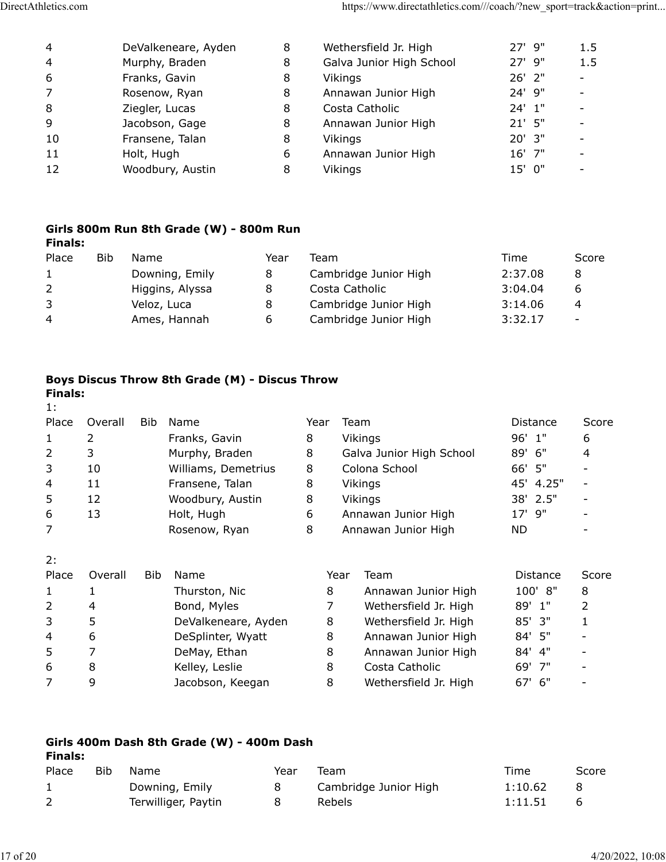| 4              | DeValkeneare, Ayden | 8 | Wethersfield Jr. High    | 27' 9"   | 1.5                      |
|----------------|---------------------|---|--------------------------|----------|--------------------------|
| $\overline{4}$ | Murphy, Braden      | 8 | Galva Junior High School | $27'$ 9" | 1.5                      |
| 6              | Franks, Gavin       | 8 | Vikings                  | $26'$ 2" |                          |
| 7              | Rosenow, Ryan       | 8 | Annawan Junior High      | 24' 9"   |                          |
| 8              | Ziegler, Lucas      | 8 | Costa Catholic           | $24'$ 1" | $\overline{\phantom{a}}$ |
| 9              | Jacobson, Gage      | 8 | Annawan Junior High      | $21'$ 5" |                          |
| 10             | Fransene, Talan     | 8 | Vikings                  | $20'$ 3" |                          |
| 11             | Holt, Hugh          | 6 | Annawan Junior High      | 16' 7"   |                          |
| 12             | Woodbury, Austin    | 8 | Vikings                  | 15' 0"   |                          |
|                |                     |   |                          |          |                          |

### **Girls 800m Run 8th Grade (W) - 800m Run Finals:**

| Place        | <b>Bib</b> | Name            | Year | Team                  | Time    | Score                    |
|--------------|------------|-----------------|------|-----------------------|---------|--------------------------|
| $\mathbf{1}$ |            | Downing, Emily  | 8    | Cambridge Junior High | 2:37.08 | 8                        |
| 2            |            | Higgins, Alyssa | 8    | Costa Catholic        | 3:04.04 | b                        |
| 3            |            | Veloz, Luca     | 8    | Cambridge Junior High | 3:14.06 | 4                        |
| 4            |            | Ames, Hannah    | 6    | Cambridge Junior High | 3:32.17 | $\overline{\phantom{a}}$ |

#### **Boys Discus Throw 8th Grade (M) - Discus Throw Finals:**

| Overall | <b>Bib</b> | Name                | Year |                       | Distance                                                                                                                         | Score          |
|---------|------------|---------------------|------|-----------------------|----------------------------------------------------------------------------------------------------------------------------------|----------------|
| 2       |            | Franks, Gavin       | 8    |                       | $96'$ 1"                                                                                                                         | 6              |
| 3       |            | Murphy, Braden      | 8    |                       | 89'<br>6"                                                                                                                        | 4              |
| 10      |            | Williams, Demetrius | 8    |                       | 66' 5"                                                                                                                           |                |
| 11      |            | Fransene, Talan     | 8    |                       | 45' 4.25"                                                                                                                        |                |
| 12      |            | Woodbury, Austin    | 8    |                       | 2.5"<br>38'                                                                                                                      |                |
| 13      |            | Holt, Hugh          | 6    |                       | 9"<br>17'                                                                                                                        |                |
|         |            | Rosenow, Ryan       | 8    |                       | <b>ND</b>                                                                                                                        |                |
|         |            |                     |      |                       |                                                                                                                                  |                |
| Overall | Bib        | Name                |      | Team                  | <b>Distance</b>                                                                                                                  | Score          |
|         |            | Thurston, Nic       | 8    | Annawan Junior High   | 100' 8"                                                                                                                          | 8              |
| 4       |            | Bond, Myles         | 7    | Wethersfield Jr. High | 89' 1"                                                                                                                           | $\overline{2}$ |
| 5       |            | DeValkeneare, Ayden | 8    | Wethersfield Jr. High | 85' 3"                                                                                                                           | 1              |
| 6       |            | DeSplinter, Wyatt   | 8    | Annawan Junior High   | 84' 5"                                                                                                                           |                |
|         |            | DeMay, Ethan        | 8    | Annawan Junior High   | 84' 4"                                                                                                                           |                |
| 8       |            | Kelley, Leslie      | 8    | Costa Catholic        | 69' 7"                                                                                                                           |                |
| 9       |            | Jacobson, Keegan    | 8    | Wethersfield Jr. High | 67' 6"                                                                                                                           |                |
|         | Finais:    |                     |      | Year                  | Team<br>Vikings<br>Galva Junior High School<br>Colona School<br>Vikings<br>Vikings<br>Annawan Junior High<br>Annawan Junior High |                |

#### **Girls 400m Dash 8th Grade (W) - 400m Dash Finals:**

| Place | Bib | Name                | Year | Team                  | Time    | Score |
|-------|-----|---------------------|------|-----------------------|---------|-------|
|       |     | Downing, Emily      |      | Cambridge Junior High | 1:10.62 |       |
|       |     | Terwilliger, Paytin |      | Rebels                | 1:11.51 |       |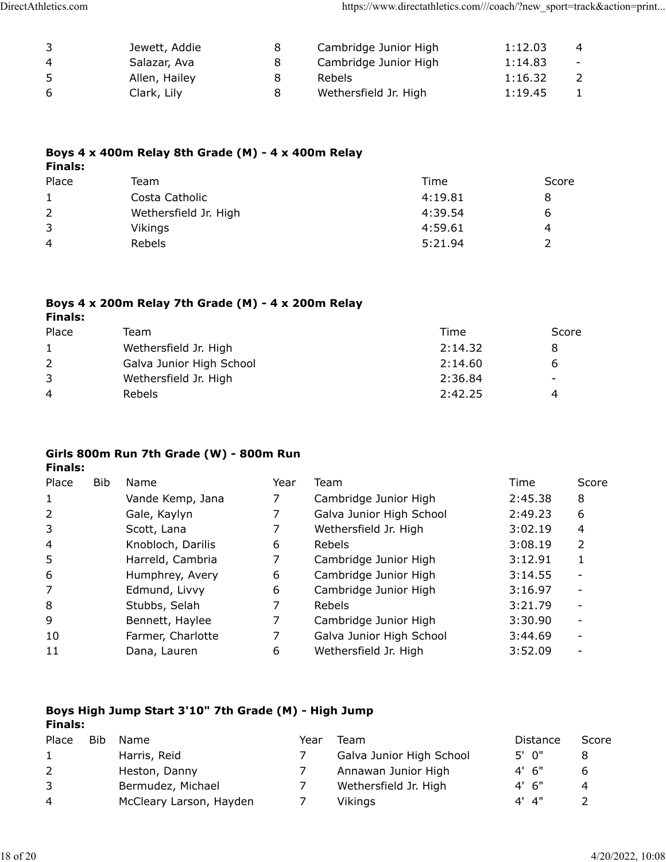| 3  | Jewett, Addie | 8 | Cambridge Junior High | 1:12.03 | 4      |
|----|---------------|---|-----------------------|---------|--------|
| 4  | Salazar, Ava  | 8 | Cambridge Junior High | 1:14.83 | $\sim$ |
| -5 | Allen, Hailey | 8 | <b>Rebels</b>         | 1:16.32 |        |
| -6 | Clark, Lily   | 8 | Wethersfield Jr. High | 1:19.45 |        |

### **Boys 4 x 400m Relay 8th Grade (M) - 4 x 400m Relay Finals:**

| Place        | Team                  | Time    | Score |
|--------------|-----------------------|---------|-------|
| $\mathbf{1}$ | Costa Catholic        | 4:19.81 |       |
| 2            | Wethersfield Jr. High | 4:39.54 | h     |
| 3            | Vikings               | 4:59.61 | 4     |
| 4            | <b>Rebels</b>         | 5:21.94 |       |

# **Boys 4 x 200m Relay 7th Grade (M) - 4 x 200m Relay**

| <b>Finals:</b> |                          |         |       |
|----------------|--------------------------|---------|-------|
| Place          | Team                     | Time    | Score |
| 1              | Wethersfield Jr. High    | 2:14.32 |       |
| 2              | Galva Junior High School | 2:14.60 |       |
| 3              | Wethersfield Jr. High    | 2:36.84 | -     |
| 4              | <b>Rebels</b>            | 2:42.25 | 4     |

# **Girls 800m Run 7th Grade (W) - 800m Run**

**Finals:**

| Place          | <b>Bib</b> | Name              | Year | Team                     | Time    | Score |
|----------------|------------|-------------------|------|--------------------------|---------|-------|
| 1              |            | Vande Kemp, Jana  |      | Cambridge Junior High    | 2:45.38 | 8     |
| 2              |            | Gale, Kaylyn      |      | Galva Junior High School | 2:49.23 | 6     |
| 3              |            | Scott, Lana       |      | Wethersfield Jr. High    | 3:02.19 | 4     |
| $\overline{4}$ |            | Knobloch, Darilis | 6    | Rebels                   | 3:08.19 | 2     |
| 5              |            | Harreld, Cambria  |      | Cambridge Junior High    | 3:12.91 |       |
| 6              |            | Humphrey, Avery   | 6    | Cambridge Junior High    | 3:14.55 |       |
| 7              |            | Edmund, Livvy     | 6    | Cambridge Junior High    | 3:16.97 |       |
| 8              |            | Stubbs, Selah     |      | Rebels                   | 3:21.79 |       |
| 9              |            | Bennett, Haylee   |      | Cambridge Junior High    | 3:30.90 |       |
| 10             |            | Farmer, Charlotte | 7    | Galva Junior High School | 3:44.69 |       |
| 11             |            | Dana, Lauren      | 6    | Wethersfield Jr. High    | 3:52.09 |       |

#### **Boys High Jump Start 3'10" 7th Grade (M) - High Jump Finals:**

| Place          | Bib | Name.                   | Year | Team                     | Distance   | Score |
|----------------|-----|-------------------------|------|--------------------------|------------|-------|
| 1              |     | Harris, Reid            |      | Galva Junior High School | $5'$ 0"    |       |
| <sup>2</sup>   |     | Heston, Danny           |      | Annawan Junior High      | $4'$ 6"    |       |
| 3              |     | Bermudez, Michael       |      | Wethersfield Jr. High    | $4'$ 6"    | 4     |
| $\overline{4}$ |     | McCleary Larson, Hayden |      | Vikings                  | $4'$ $4''$ |       |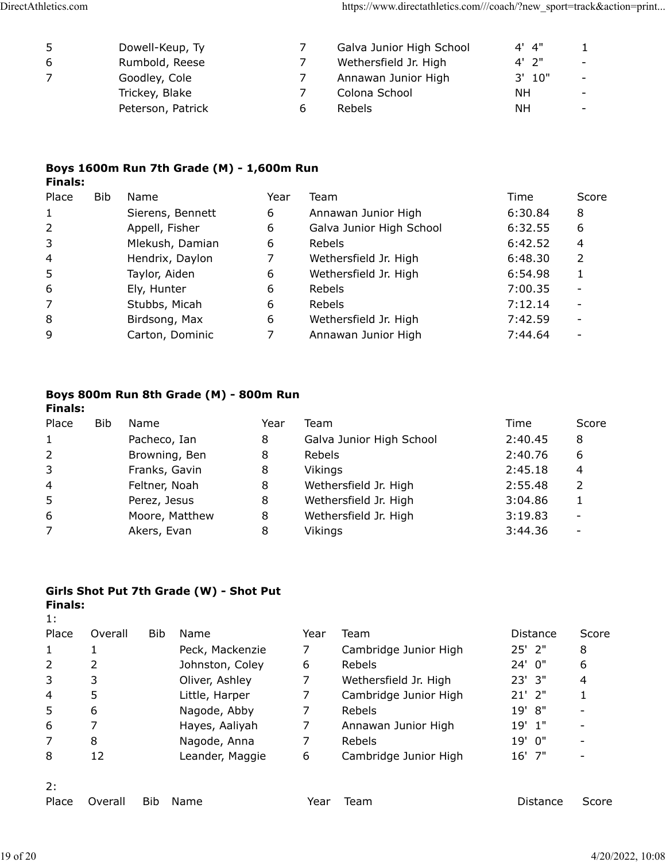| -5 | Dowell-Keup, Ty   | Galva Junior High School | $4'$ $4''$ |                          |
|----|-------------------|--------------------------|------------|--------------------------|
| -6 | Rumbold, Reese    | Wethersfield Jr. High    | $4'$ $2"$  | $\sim$                   |
|    | Goodley, Cole     | Annawan Junior High      | $3'$ 10"   | $\overline{\phantom{0}}$ |
|    | Trickey, Blake    | Colona School            | NΗ         | $\overline{\phantom{0}}$ |
|    | Peterson, Patrick | <b>Rebels</b>            | <b>NH</b>  |                          |

### **Boys 1600m Run 7th Grade (M) - 1,600m Run Finals:**

| Place        | <b>Bib</b> | Name             | Year | Team                     | Time    | Score |
|--------------|------------|------------------|------|--------------------------|---------|-------|
| $\mathbf{1}$ |            | Sierens, Bennett | 6    | Annawan Junior High      | 6:30.84 | 8     |
| 2            |            | Appell, Fisher   | 6    | Galva Junior High School | 6:32.55 | 6     |
| 3            |            | Mlekush, Damian  | 6    | Rebels                   | 6:42.52 | 4     |
| 4            |            | Hendrix, Daylon  | 7    | Wethersfield Jr. High    | 6:48.30 |       |
| 5            |            | Taylor, Aiden    | 6    | Wethersfield Jr. High    | 6:54.98 |       |
| 6            |            | Ely, Hunter      | 6    | Rebels                   | 7:00.35 |       |
| 7            |            | Stubbs, Micah    | 6    | <b>Rebels</b>            | 7:12.14 |       |
| 8            |            | Birdsong, Max    | 6    | Wethersfield Jr. High    | 7:42.59 |       |
| 9            |            | Carton, Dominic  |      | Annawan Junior High      | 7:44.64 |       |

#### **Boys 800m Run 8th Grade (M) - 800m Run Finals:**

| Place        | Bib | Name           | Year | Team                     | Time    | Score                    |
|--------------|-----|----------------|------|--------------------------|---------|--------------------------|
| $\mathbf{1}$ |     | Pacheco, Ian   | 8    | Galva Junior High School | 2:40.45 | 8                        |
| 2            |     | Browning, Ben  | 8    | Rebels                   | 2:40.76 | 6                        |
| 3            |     | Franks, Gavin  | 8    | Vikings                  | 2:45.18 | 4                        |
| 4            |     | Feltner, Noah  | 8    | Wethersfield Jr. High    | 2:55.48 |                          |
| 5            |     | Perez, Jesus   | 8    | Wethersfield Jr. High    | 3:04.86 |                          |
| 6            |     | Moore, Matthew | 8    | Wethersfield Jr. High    | 3:19.83 | $\overline{\phantom{a}}$ |
| 7            |     | Akers, Evan    | 8    | Vikings                  | 3:44.36 | ۰                        |

## **Girls Shot Put 7th Grade (W) - Shot Put**

| <b>Finals:</b><br>1: |         |            |                 |      |                       |             |       |
|----------------------|---------|------------|-----------------|------|-----------------------|-------------|-------|
| Place                | Overall | <b>Bib</b> | Name            | Year | Team                  | Distance    | Score |
|                      | 1       |            | Peck, Mackenzie | 7    | Cambridge Junior High | $25'$ $2"$  | 8     |
| 2                    | 2       |            | Johnston, Coley | 6    | Rebels                | $24'$ 0"    | 6     |
| 3                    | 3       |            | Oliver, Ashley  | 7    | Wethersfield Jr. High | $23'$ $3''$ | 4     |
| 4                    | 5       |            | Little, Harper  | 7    | Cambridge Junior High | $21'$ $2"$  | 1     |
| 5                    | 6       |            | Nagode, Abby    | 7    | Rebels                | 19'<br>8"   |       |
| 6                    | 7       |            | Hayes, Aaliyah  | 7    | Annawan Junior High   | 1"<br>19'   |       |
|                      | 8       |            | Nagode, Anna    | 7    | Rebels                | 19' 0"      |       |
| 8                    | 12      |            | Leander, Maggie | 6    | Cambridge Junior High | $16'$ 7"    |       |
| 2:                   |         |            |                 |      |                       |             |       |
| Place                | Overall | <b>Bib</b> | Name            | Year | Team                  | Distance    | Score |
|                      |         |            |                 |      |                       |             |       |